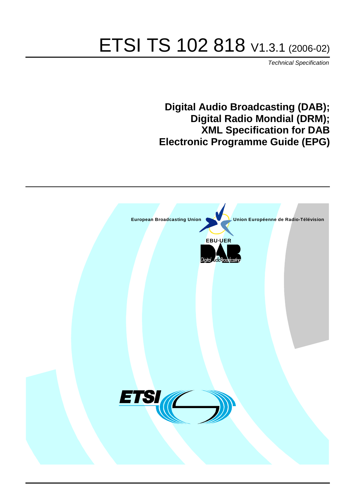# ETSI TS 102 818 V1.3.1 (2006-02)

Technical Specification

**Digital Audio Broadcasting (DAB); Digital Radio Mondial (DRM); XML Specification for DAB Electronic Programme Guide (EPG)**

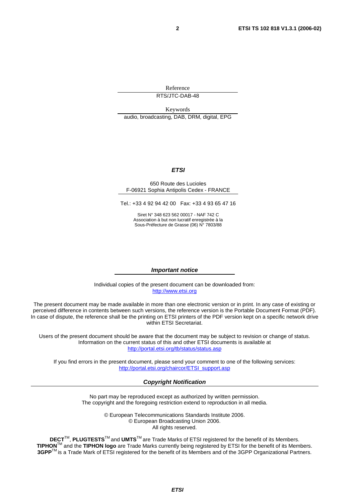Reference RTS/JTC-DAB-48

Keywords audio, broadcasting, DAB, DRM, digital, EPG

#### **ETSI**

#### 650 Route des Lucioles F-06921 Sophia Antipolis Cedex - FRANCE

Tel.: +33 4 92 94 42 00 Fax: +33 4 93 65 47 16

Siret N° 348 623 562 00017 - NAF 742 C Association à but non lucratif enregistrée à la Sous-Préfecture de Grasse (06) N° 7803/88

#### **Important notice**

Individual copies of the present document can be downloaded from: [http://www.etsi.org](http://www.etsi.org/)

The present document may be made available in more than one electronic version or in print. In any case of existing or perceived difference in contents between such versions, the reference version is the Portable Document Format (PDF). In case of dispute, the reference shall be the printing on ETSI printers of the PDF version kept on a specific network drive within ETSI Secretariat.

Users of the present document should be aware that the document may be subject to revision or change of status. Information on the current status of this and other ETSI documents is available at <http://portal.etsi.org/tb/status/status.asp>

If you find errors in the present document, please send your comment to one of the following services: [http://portal.etsi.org/chaircor/ETSI\\_support.asp](http://portal.etsi.org/chaircor/ETSI_support.asp)

### **Copyright Notification**

No part may be reproduced except as authorized by written permission. The copyright and the foregoing restriction extend to reproduction in all media.

> © European Telecommunications Standards Institute 2006. © European Broadcasting Union 2006. All rights reserved.

**DECT**TM, **PLUGTESTS**TM and **UMTS**TM are Trade Marks of ETSI registered for the benefit of its Members. **TIPHON**TM and the **TIPHON logo** are Trade Marks currently being registered by ETSI for the benefit of its Members. **3GPP**TM is a Trade Mark of ETSI registered for the benefit of its Members and of the 3GPP Organizational Partners.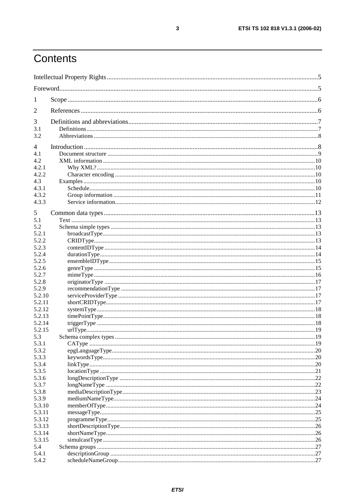## Contents

| $\mathbf{I}$   |  |  |  |  |  |
|----------------|--|--|--|--|--|
| 2              |  |  |  |  |  |
| 3              |  |  |  |  |  |
| 3.1            |  |  |  |  |  |
| 3.2            |  |  |  |  |  |
| $\overline{4}$ |  |  |  |  |  |
| 4.1            |  |  |  |  |  |
| 4.2            |  |  |  |  |  |
| 4.2.1          |  |  |  |  |  |
| 4.2.2          |  |  |  |  |  |
| 4.3            |  |  |  |  |  |
| 4.3.1          |  |  |  |  |  |
| 4.3.2          |  |  |  |  |  |
| 4.3.3          |  |  |  |  |  |
| 5              |  |  |  |  |  |
| 5.1            |  |  |  |  |  |
| 5.2            |  |  |  |  |  |
| 5.2.1          |  |  |  |  |  |
| 5.2.2          |  |  |  |  |  |
| 5.2.3          |  |  |  |  |  |
| 5.2.4          |  |  |  |  |  |
| 5.2.5          |  |  |  |  |  |
| 5.2.6          |  |  |  |  |  |
| 5.2.7          |  |  |  |  |  |
| 5.2.8          |  |  |  |  |  |
| 5.2.9          |  |  |  |  |  |
| 5.2.10         |  |  |  |  |  |
| 5.2.11         |  |  |  |  |  |
| 5.2.12         |  |  |  |  |  |
| 5.2.13         |  |  |  |  |  |
| 5.2.14         |  |  |  |  |  |
| 5.2.15         |  |  |  |  |  |
| 5.3            |  |  |  |  |  |
| 5.3.1          |  |  |  |  |  |
| 5.3.2<br>5.3.3 |  |  |  |  |  |
| 5.3.4          |  |  |  |  |  |
| 5.3.5          |  |  |  |  |  |
| 5.3.6          |  |  |  |  |  |
| 5.3.7          |  |  |  |  |  |
| 5.3.8          |  |  |  |  |  |
| 5.3.9          |  |  |  |  |  |
| 5.3.10         |  |  |  |  |  |
| 5.3.11         |  |  |  |  |  |
| 5.3.12         |  |  |  |  |  |
| 5.3.13         |  |  |  |  |  |
| 5.3.14         |  |  |  |  |  |
| 5.3.15         |  |  |  |  |  |
| 5.4            |  |  |  |  |  |
| 5.4.1          |  |  |  |  |  |
| 5.4.2          |  |  |  |  |  |

 $\mathbf{3}$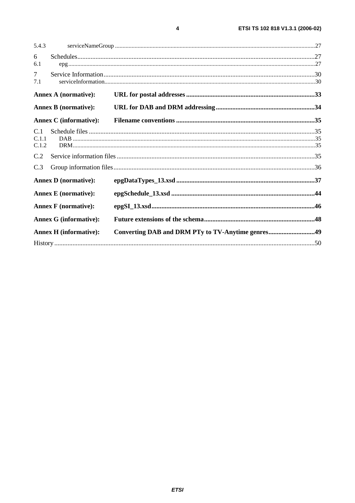| <b>Annex A (normative):</b><br><b>Annex B</b> (normative):<br><b>Annex C</b> (informative):<br><b>Annex D</b> (normative):<br><b>Annex E</b> (normative):<br><b>Annex F</b> (normative):<br><b>Annex G (informative):</b><br><b>Annex H</b> (informative): | Converting DAB and DRM PTy to TV-Anytime genres49 |
|------------------------------------------------------------------------------------------------------------------------------------------------------------------------------------------------------------------------------------------------------------|---------------------------------------------------|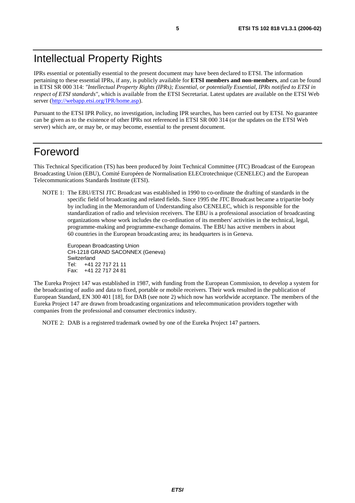## Intellectual Property Rights

IPRs essential or potentially essential to the present document may have been declared to ETSI. The information pertaining to these essential IPRs, if any, is publicly available for **ETSI members and non-members**, and can be found in ETSI SR 000 314: *"Intellectual Property Rights (IPRs); Essential, or potentially Essential, IPRs notified to ETSI in respect of ETSI standards"*, which is available from the ETSI Secretariat. Latest updates are available on the ETSI Web server [\(http://webapp.etsi.org/IPR/home.asp\)](http://webapp.etsi.org/IPR/home.asp).

Pursuant to the ETSI IPR Policy, no investigation, including IPR searches, has been carried out by ETSI. No guarantee can be given as to the existence of other IPRs not referenced in ETSI SR 000 314 (or the updates on the ETSI Web server) which are, or may be, or may become, essential to the present document.

## Foreword

This Technical Specification (TS) has been produced by Joint Technical Committee (JTC) Broadcast of the European Broadcasting Union (EBU), Comité Européen de Normalisation ELECtrotechnique (CENELEC) and the European Telecommunications Standards Institute (ETSI).

NOTE 1: The EBU/ETSI JTC Broadcast was established in 1990 to co-ordinate the drafting of standards in the specific field of broadcasting and related fields. Since 1995 the JTC Broadcast became a tripartite body by including in the Memorandum of Understanding also CENELEC, which is responsible for the standardization of radio and television receivers. The EBU is a professional association of broadcasting organizations whose work includes the co-ordination of its members' activities in the technical, legal, programme-making and programme-exchange domains. The EBU has active members in about 60 countries in the European broadcasting area; its headquarters is in Geneva.

European Broadcasting Union CH-1218 GRAND SACONNEX (Geneva) Switzerland Tel: +41 22 717 21 11 Fax: +41 22 717 24 81

The Eureka Project 147 was established in 1987, with funding from the European Commission, to develop a system for the broadcasting of audio and data to fixed, portable or mobile receivers. Their work resulted in the publication of European Standard, EN 300 401 [18], for DAB (see note 2) which now has worldwide acceptance. The members of the Eureka Project 147 are drawn from broadcasting organizations and telecommunication providers together with companies from the professional and consumer electronics industry.

NOTE 2: DAB is a registered trademark owned by one of the Eureka Project 147 partners.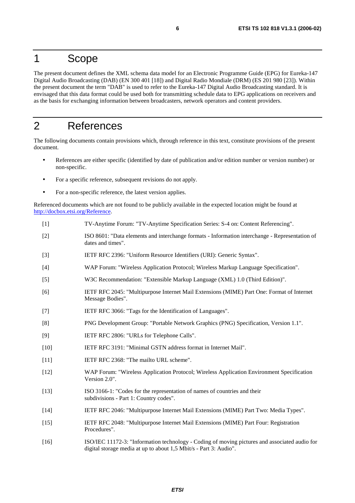## 1 Scope

The present document defines the XML schema data model for an Electronic Programme Guide (EPG) for Eureka-147 Digital Audio Broadcasting (DAB) (EN 300 401 [18]) and Digital Radio Mondiale (DRM) (ES 201 980 [23]). Within the present document the term "DAB" is used to refer to the Eureka-147 Digital Audio Broadcasting standard. It is envisaged that this data format could be used both for transmitting schedule data to EPG applications on receivers and as the basis for exchanging information between broadcasters, network operators and content providers.

## 2 References

The following documents contain provisions which, through reference in this text, constitute provisions of the present document.

- References are either specific (identified by date of publication and/or edition number or version number) or non-specific.
- For a specific reference, subsequent revisions do not apply.
- For a non-specific reference, the latest version applies.

Referenced documents which are not found to be publicly available in the expected location might be found at <http://docbox.etsi.org/Reference>.

- [1] TV-Anytime Forum: "TV-Anytime Specification Series: S-4 on: Content Referencing".
- [2] ISO 8601: "Data elements and interchange formats Information interchange Representation of dates and times".
- [3] IETF RFC 2396: "Uniform Resource Identifiers (URI): Generic Syntax".
- [4] WAP Forum: "Wireless Application Protocol; Wireless Markup Language Specification".
- [5] W3C Recommendation: "Extensible Markup Language (XML) 1.0 (Third Edition)".
- [6] IETF RFC 2045: "Multipurpose Internet Mail Extensions (MIME) Part One: Format of Internet Message Bodies".
- [7] IETF RFC 3066: "Tags for the Identification of Languages".
- [8] PNG Development Group: "Portable Network Graphics (PNG) Specification, Version 1.1".
- [9] IETF RFC 2806: "URLs for Telephone Calls".
- [10] IETF RFC 3191: "Minimal GSTN address format in Internet Mail".
- [11] **IETF RFC 2368: "The mailto URL scheme".**
- [12] WAP Forum: "Wireless Application Protocol; Wireless Application Environment Specification Version 2.0".
- [13] ISO 3166-1: "Codes for the representation of names of countries and their subdivisions - Part 1: Country codes".
- [14] IETF RFC 2046: "Multipurpose Internet Mail Extensions (MIME) Part Two: Media Types".
- [15] IETF RFC 2048: "Multipurpose Internet Mail Extensions (MIME) Part Four: Registration Procedures".
- [16] ISO/IEC 11172-3: "Information technology Coding of moving pictures and associated audio for digital storage media at up to about 1,5 Mbit/s - Part 3: Audio".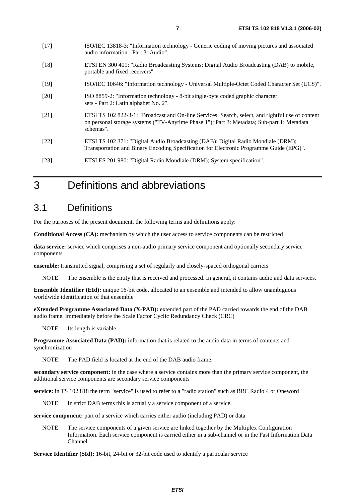- [18] ETSI EN 300 401: "Radio Broadcasting Systems; Digital Audio Broadcasting (DAB) to mobile, portable and fixed receivers".
- [19] ISO/IEC 10646: "Information technology Universal Multiple-Octet Coded Character Set (UCS)".
- [20] ISO 8859-2: "Information technology 8-bit single-byte coded graphic character sets - Part 2: Latin alphabet No. 2".
- [21] ETSI TS 102 822-3-1: "Broadcast and On-line Services: Search, select, and rightful use of content on personal storage systems ("TV-Anytime Phase 1"); Part 3: Metadata; Sub-part 1: Metadata schemas".
- [22] ETSI TS 102 371: "Digital Audio Broadcasting (DAB); Digital Radio Mondiale (DRM); Transportation and Binary Encoding Specification for Electronic Programme Guide (EPG)".
- [23] ETSI ES 201 980: "Digital Radio Mondiale (DRM); System specification".

## 3 Definitions and abbreviations

## 3.1 Definitions

For the purposes of the present document, the following terms and definitions apply:

**Conditional Access (CA):** mechanism by which the user access to service components can be restricted

**data service:** service which comprises a non-audio primary service component and optionally secondary service components

**ensemble:** transmitted signal, comprising a set of regularly and closely-spaced orthogonal carriers

NOTE: The ensemble is the entity that is received and processed. In general, it contains audio and data services.

**Ensemble Identifier (EId):** unique 16-bit code, allocated to an ensemble and intended to allow unambiguous worldwide identification of that ensemble

**eXtended Programme Associated Data (X-PAD):** extended part of the PAD carried towards the end of the DAB audio frame, immediately before the Scale Factor Cyclic Redundancy Check (CRC)

NOTE: Its length is variable.

**Programme Associated Data (PAD):** information that is related to the audio data in terms of contents and synchronization

NOTE: The PAD field is located at the end of the DAB audio frame.

**secondary service component:** in the case where a service contains more than the primary service component, the additional service components are secondary service components

**service:** in TS 102 818 the term "service" is used to refer to a "radio station" such as BBC Radio 4 or Oneword

NOTE: In strict DAB terms this is actually a service component of a service.

**service component:** part of a service which carries either audio (including PAD) or data

NOTE: The service components of a given service are linked together by the Multiplex Configuration Information. Each service component is carried either in a sub-channel or in the Fast Information Data Channel.

**Service Identifier (SId):** 16-bit, 24-bit or 32-bit code used to identify a particular service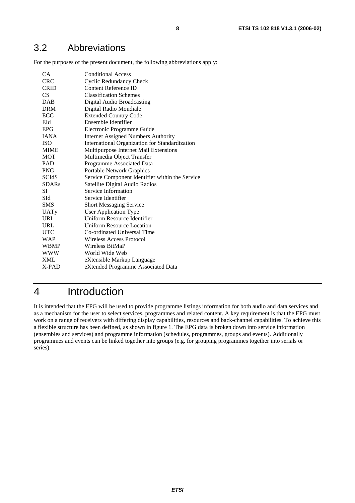## 3.2 Abbreviations

For the purposes of the present document, the following abbreviations apply:

| <b>CA</b>    | <b>Conditional Access</b>                       |
|--------------|-------------------------------------------------|
| <b>CRC</b>   | <b>Cyclic Redundancy Check</b>                  |
| <b>CRID</b>  | <b>Content Reference ID</b>                     |
| CS.          | <b>Classification Schemes</b>                   |
| <b>DAB</b>   | Digital Audio Broadcasting                      |
| <b>DRM</b>   | Digital Radio Mondiale                          |
| ECC          | <b>Extended Country Code</b>                    |
| EId          | Ensemble Identifier                             |
| <b>EPG</b>   | Electronic Programme Guide                      |
| <b>IANA</b>  | <b>Internet Assigned Numbers Authority</b>      |
| <b>ISO</b>   | International Organization for Standardization  |
| <b>MIME</b>  | Multipurpose Internet Mail Extensions           |
| MOT          | Multimedia Object Transfer                      |
| <b>PAD</b>   | Programme Associated Data                       |
| <b>PNG</b>   | Portable Network Graphics                       |
| <b>SCIdS</b> | Service Component Identifier within the Service |
| <b>SDARs</b> | Satellite Digital Audio Radios                  |
| SI           | Service Information                             |
| SId          | Service Identifier                              |
| <b>SMS</b>   | <b>Short Messaging Service</b>                  |
| UATy         | <b>User Application Type</b>                    |
| <b>URI</b>   | Uniform Resource Identifier                     |
| URL          | <b>Uniform Resource Location</b>                |
| <b>UTC</b>   | Co-ordinated Universal Time                     |
| WAP          | Wireless Access Protocol                        |
| <b>WBMP</b>  | Wireless BitMaP                                 |
| <b>WWW</b>   | World Wide Web                                  |
| <b>XML</b>   | eXtensible Markup Language                      |
| X-PAD        | eXtended Programme Associated Data              |
|              |                                                 |

## 4 Introduction

It is intended that the EPG will be used to provide programme listings information for both audio and data services and as a mechanism for the user to select services, programmes and related content. A key requirement is that the EPG must work on a range of receivers with differing display capabilities, resources and back-channel capabilities. To achieve this a flexible structure has been defined, as shown in figure 1. The EPG data is broken down into service information (ensembles and services) and programme information (schedules, programmes, groups and events). Additionally programmes and events can be linked together into groups (e.g. for grouping programmes together into serials or series).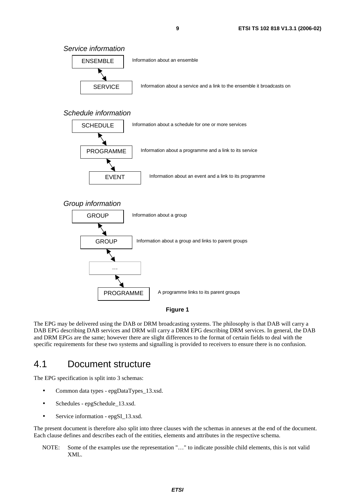Service information



### Schedule information



### Group information



### **Figure 1**

The EPG may be delivered using the DAB or DRM broadcasting systems. The philosophy is that DAB will carry a DAB EPG describing DAB services and DRM will carry a DRM EPG describing DRM services. In general, the DAB and DRM EPGs are the same; however there are slight differences to the format of certain fields to deal with the specific requirements for these two systems and signalling is provided to receivers to ensure there is no confusion.

## 4.1 Document structure

The EPG specification is split into 3 schemas:

- Common data types epgDataTypes 13.xsd.
- Schedules epgSchedule\_13.xsd.
- Service information epgSI\_13.xsd.

The present document is therefore also split into three clauses with the schemas in annexes at the end of the document. Each clause defines and describes each of the entities, elements and attributes in the respective schema.

NOTE: Some of the examples use the representation "…" to indicate possible child elements, this is not valid XML.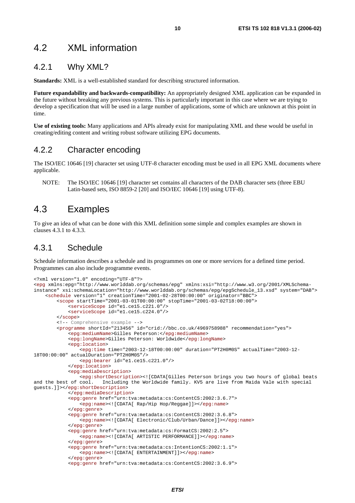### 4.2 XML information

### 4.2.1 Why XML?

**Standards:** XML is a well-established standard for describing structured information.

**Future expandability and backwards-compatibility:** An appropriately designed XML application can be expanded in the future without breaking any previous systems. This is particularly important in this case where we are trying to develop a specification that will be used in a large number of applications, some of which are unknown at this point in time.

**Use of existing tools:** Many applications and APIs already exist for manipulating XML and these would be useful in creating/editing content and writing robust software utilizing EPG documents.

### 4.2.2 Character encoding

The ISO/IEC 10646 [19] character set using UTF-8 character encoding must be used in all EPG XML documents where applicable.

NOTE: The ISO/IEC 10646 [19] character set contains all characters of the DAB character sets (three EBU Latin-based sets, ISO 8859-2 [20] and ISO/IEC 10646 [19] using UTF-8).

### 4.3 Examples

To give an idea of what can be done with this XML definition some simple and complex examples are shown in clauses 4.3.1 to 4.3.3.

### 4.3.1 Schedule

Schedule information describes a schedule and its programmes on one or more services for a defined time period. Programmes can also include programme events.

```
<?xml version="1.0" encoding="UTF-8"?> 
<epg xmlns:epg="http://www.worlddab.org/schemas/epg" xmlns:xsi="http://www.w3.org/2001/XMLSchema-
instance" xsi:schemaLocation="http://www.worlddab.org/schemas/epg/epgSchedule_13.xsd" system="DAB"> 
     <schedule version="1" creationTime="2001-02-28T00:00:00" originator="BBC"> 
         <scope startTime="2001-03-01T00:00:00" stopTime="2001-03-02T18:00:00"> 
             <serviceScope id="e1.ce15.c221.0"/> 
             <serviceScope id="e1.ce15.c224.0"/> 
         </scope> 
 <!-- Comprehensive example --> 
 <programme shortId="213456" id="crid://bbc.co.uk/4969758988" recommendation="yes"> 
             <epg:mediumName>Gilles Peterson:</epg:mediumName> 
             <epg:longName>Gilles Peterson: Worldwide</epg:longName> 
             <epg:location> 
                 <epg:time time="2003-12-18T00:00:00" duration="PT2H0M0S" actualTime="2003-12-
18T00:00:00" actualDuration="PT2H0M0S"/> 
                 <epg:bearer id="e1.ce15.c221.0"/> 
             </epg:location> 
             <epg:mediaDescription> 
                 <epg:shortDescription><![CDATA[Gilles Peterson brings you two hours of global beats 
and the best of cool. Including the Worldwide family. KV5 are live from Maida Vale with special 
guests.]]></epg:shortDescription> 
             </epg:mediaDescription> 
             <epg:genre href="urn:tva:metadata:cs:ContentCS:2002:3.6.7"> 
                 <epg:name><![CDATA[ Rap/Hip Hop/Reggae]]></epg:name> 
             </epg:genre> 
             <epg:genre href="urn:tva:metadata:cs:ContentCS:2002:3.6.8"> 
                 <epg:name><![CDATA[ Electronic/Club/Urban/Dance]]></epg:name> 
             </epg:genre> 
             <epg:genre href="urn:tva:metadata:cs:FormatCS:2002:2.5"> 
                 <epg:name><![CDATA[ ARTISTIC PERFORMANCE]]></epg:name> 
             </epg:genre> 
             <epg:genre href="urn:tva:metadata:cs:IntentionCS:2002:1.1"> 
                 <epg:name><![CDATA[ ENTERTAINMENT]]></epg:name> 
             </epg:genre>
```

```
 <epg:genre href="urn:tva:metadata:cs:ContentCS:2002:3.6.9">
```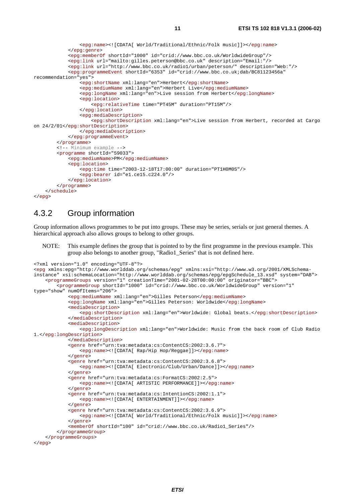```
 <epg:name><![CDATA[ World/Traditional/Ethnic/Folk music]]></epg:name> 
              </epg:genre> 
              <epg:memberOf shortId="1000" id="crid://www.bbc.co.uk/WorldwideGroup"/> 
              <epg:link url="mailto:gilles.peterson@bbc.co.uk" description="Email:"/> 
              <epg:link url="http://www.bbc.co.uk/radio1/urban/peterson/" description="Web:"/> 
              <epg:programmeEvent shortId="6353" id="crid://www.bbc.co.uk;dab/BC81123456a" 
recommendation="yes"> 
                  <epg:shortName xml:lang="en">Herbert</epg:shortName> 
                  <epg:mediumName xml:lang="en">Herbert Live</epg:mediumName> 
                  <epg:longName xml:lang="en">Live session from Herbert</epg:longName> 
                  <epg:location> 
                      <epg:relativeTime time="PT45M" duration="PT15M"/> 
                  </epg:location> 
                  <epg:mediaDescription> 
                      <epg:shortDescription xml:lang="en">Live session from Herbert, recorded at Cargo 
on 24/2/01</epg:shortDescription> 
                  </epg:mediaDescription> 
             </epg:programmeEvent> 
         </programme> 
         <!-- Minimum example --> 
         <programme shortId="59033"> 
              <epg:mediumName>PM</epg:mediumName> 
              <epg:location> 
                  <epg:time time="2003-12-18T17:00:00" duration="PT1H0M0S"/> 
                  <epg:bearer id="e1.ce15.c224.0"/> 
              </epg:location> 
         </programme> 
     </schedule> 
</epg>
```
### 4.3.2 Group information

Group information allows programmes to be put into groups. These may be series, serials or just general themes. A hierarchical approach also allows groups to belong to other groups.

NOTE: This example defines the group that is pointed to by the first programme in the previous example. This group also belongs to another group, "Radio1\_Series" that is not defined here.

```
<?xml version="1.0" encoding="UTF-8"?> 
<epg xmlns:epg="http://www.worlddab.org/schemas/epg" xmlns:xsi="http://www.w3.org/2001/XMLSchema-
instance" xsi:schemaLocation="http://www.worlddab.org/schemas/epg/epgSchedule_13.xsd" system="DAB"> 
     <programmeGroups version="1" creationTime="2001-02-28T00:00:00" originator="BBC"> 
         <programmeGroup shortId="1000" id="crid://www.bbc.co.uk/WorldwideGroup" version="1" 
type="show" numOfItems="206"> 
             <epg:mediumName xml:lang="en">Gilles Peterson</epg:mediumName> 
             <epg:longName xml:lang="en">Gilles Peterson: Worldwide</epg:longName> 
             <mediaDescription> 
                 <epg:shortDescription xml:lang="en">Worldwide: Global beats.</epg:shortDescription> 
             </mediaDescription> 
             <mediaDescription> 
                 <epg:longDescription xml:lang="en">Worldwide: Music from the back room of Club Radio 
1.</epg:longDescription> 
             </mediaDescription> 
             <genre href="urn:tva:metadata:cs:ContentCS:2002:3.6.7"> 
                 <epg:name><![CDATA[ Rap/Hip Hop/Reggae]]></epg:name> 
             </genre> 
              <genre href="urn:tva:metadata:cs:ContentCS:2002:3.6.8"> 
                 <epg:name><![CDATA[ Electronic/Club/Urban/Dance]]></epg:name> 
             </genre> 
              <genre href="urn:tva:metadata:cs:FormatCS:2002:2.5"> 
                 <epg:name><![CDATA[ ARTISTIC PERFORMANCE]]></epg:name> 
              </genre> 
             <genre href="urn:tva:metadata:cs:IntentionCS:2002:1.1"> 
                 <epg:name><![CDATA[ ENTERTAINMENT]]></epg:name> 
             </genre> 
             <genre href="urn:tva:metadata:cs:ContentCS:2002:3.6.9"> 
                 <epg:name><![CDATA[ World/Traditional/Ethnic/Folk music]]></epg:name> 
             </genre> 
             <memberOf shortId="100" id="crid://www.bbc.co.uk/Radio1_Series"/> 
         </programmeGroup> 
     </programmeGroups> 
</epg>
```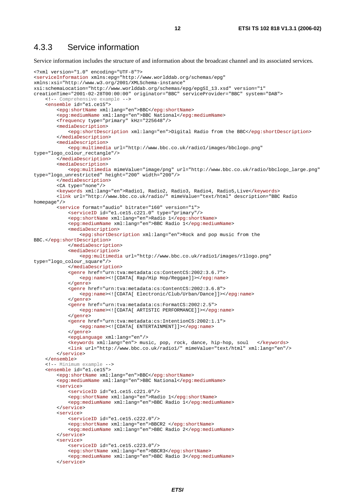### 4.3.3 Service information

Service information includes the structure of and information about the broadcast channel and its associated services.

```
<?xml version="1.0" encoding="UTF-8"?> 
<serviceInformation xmlns:epg="http://www.worlddab.org/schemas/epg" 
xmlns:xsi="http://www.w3.org/2001/XMLSchema-instance" 
xsi:schemaLocation="http://www.worlddab.org/schemas/epg/epgSI_13.xsd" version="1" 
creationTime="2001-02-28T00:00:00" originator="BBC" serviceProvider="BBC" system="DAB"> 
     <!-- Comprehensive example --> 
     <ensemble id="e1.ce15"> 
         <epg:shortName xml:lang="en">BBC</epg:shortName> 
         <epg:mediumName xml:lang="en">BBC National</epg:mediumName> 
         <frequency type="primary" kHz="225648"/> 
         <mediaDescription> 
             <epg:shortDescription xml:lang="en">Digital Radio from the BBC</epg:shortDescription> 
         </mediaDescription> 
         <mediaDescription> 
             <epg:multimedia url="http://www.bbc.co.uk/radio1/images/bbclogo.png" 
type="logo_colour_rectangle"/> 
         </mediaDescription> 
         <mediaDescription> 
             <epg:multimedia mimeValue="image/png" url="http://www.bbc.co.uk/radio/bbclogo_large.png" 
type="logo_unrestricted" height="200" width="200"/> 
         </mediaDescription> 
         <CA type="none"/> 
         <keywords xml:lang="en">Radio1, Radio2, Radio3, Radio4, Radio5,Live</keywords> 
         <link url="http://www.bbc.co.uk/radio/" mimeValue="text/html" description="BBC Radio 
homepage"/> 
         <service format="audio" bitrate="160" version="1"> 
             <serviceID id="e1.ce15.c221.0" type="primary"/> 
             <epg:shortName xml:lang="en">Radio 1</epg:shortName> 
             <epg:mediumName xml:lang="en">BBC Radio 1</epg:mediumName> 
             <mediaDescription> 
                  <epg:shortDescription xml:lang="en">Rock and pop music from the 
BBC.</epg:shortDescription> 
             </mediaDescription> 
             <mediaDescription> 
                  <epg:multimedia url="http://www.bbc.co.uk/radio1/images/r1logo.png" 
type="logo_colour_square"/> 
             </mediaDescription> 
             <genre href="urn:tva:metadata:cs:ContentCS:2002:3.6.7"> 
                  <epg:name><![CDATA[ Rap/Hip Hop/Reggae]]></epg:name> 
             </genre> 
             <genre href="urn:tva:metadata:cs:ContentCS:2002:3.6.8"> 
                 <epg:name><![CDATA[ Electronic/Club/Urban/Dance]]></epg:name> 
             </genre> 
             <genre href="urn:tva:metadata:cs:FormatCS:2002:2.5"> 
                 <epg:name><![CDATA[ ARTISTIC PERFORMANCE]]></epg:name> 
             </genre> 
             <genre href="urn:tva:metadata:cs:IntentionCS:2002:1.1"> 
                  <epg:name><![CDATA[ ENTERTAINMENT]]></epg:name> 
             </genre> 
             <epgLanguage xml:lang="en"/> 
             <keywords xml:lang="en"> music, pop, rock, dance, hip-hop, soul </keywords> 
             <link url="http://www.bbc.co.uk/radio1/" mimeValue="text/html" xml:lang="en"/> 
         </service> 
     </ensemble> 
     <!-- Minimum example --> 
     <ensemble id="e1.ce15"> 
         <epg:shortName xml:lang="en">BBC</epg:shortName> 
         <epg:mediumName xml:lang="en">BBC National</epg:mediumName> 
         <service> 
              <serviceID id="e1.ce15.c221.0"/> 
             <epg:shortName xml:lang="en">Radio 1</epg:shortName> 
             <epg:mediumName xml:lang="en">BBC Radio 1</epg:mediumName> 
         </service> 
         <service> 
              <serviceID id="e1.ce15.c222.0"/> 
             <epg:shortName xml:lang="en">BBCR2 </epg:shortName> 
             <epg:mediumName xml:lang="en">BBC Radio 2</epg:mediumName> 
         </service> 
         <service> 
              <serviceID id="e1.ce15.c223.0"/> 
             <epg:shortName xml:lang="en">BBCR3</epg:shortName> 
             <epg:mediumName xml:lang="en">BBC Radio 3</epg:mediumName> 
         </service>
```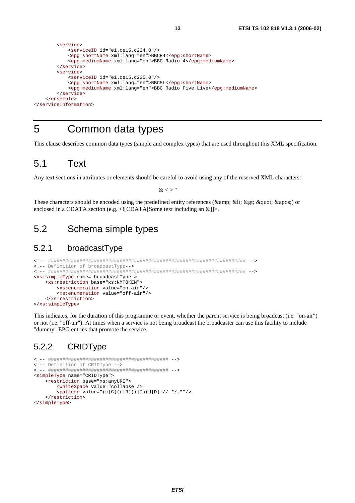```
 <service> 
             <serviceID id="e1.ce15.c224.0"/> 
             <epg:shortName xml:lang="en">BBCR4</epg:shortName> 
             <epg:mediumName xml:lang="en">BBC Radio 4</epg:mediumName> 
         </service> 
         <service> 
              <serviceID id="e1.ce15.c225.0"/> 
             <epg:shortName xml:lang="en">BBC5L</epg:shortName> 
             <epg:mediumName xml:lang="en">BBC Radio Five Live</epg:mediumName> 
         </service> 
     </ensemble> 
</serviceInformation>
```
## 5 Common data types

This clause describes common data types (simple and complex types) that are used throughout this XML specification.

## 5.1 Text

Any text sections in attributes or elements should be careful to avoid using any of the reserved XML characters:

 $\&$  < > " '

These characters should be encoded using the predefined entity references ( $\&$ amp;  $\&$ lt;  $\&$ gt;  $\&$ quot;  $\&$ apos;) or enclosed in a CDATA section (e.g.  $\langle$ ![CDATA[Some text including an &]]>.

## 5.2 Schema simple types

### 5.2.1 broadcastType

```
<!-- ##################################################################### --> 
<!-- Definition of broadcastType--> 
<!-- ##################################################################### --> 
<xs:simpleType name="broadcastType"> 
     <xs:restriction base="xs:NMTOKEN"> 
         <xs:enumeration value="on-air"/> 
         <xs:enumeration value="off-air"/> 
     </xs:restriction> 
</xs:simpleType>
```
This indicates, for the duration of this programme or event, whether the parent service is being broadcast (i.e. "on-air") or not (i.e. "off-air"). At times when a service is not being broadcast the broadcaster can use this facility to include "dummy" EPG entries that promote the service.

### 5.2.2 CRIDType

```
<!-- ########################################## --> 
<!-- Definition of CRIDType --> 
<!-- ########################################## --> 
<simpleType name="CRIDType"> 
     <restriction base="xs:anyURI"> 
         <whiteSpace value="collapse"/> 
        \mathsf{b} <pattern value="(c|C)(r|R)(i|I)(d|D)://.*/.*"/>
     </restriction> 
</simpleType>
```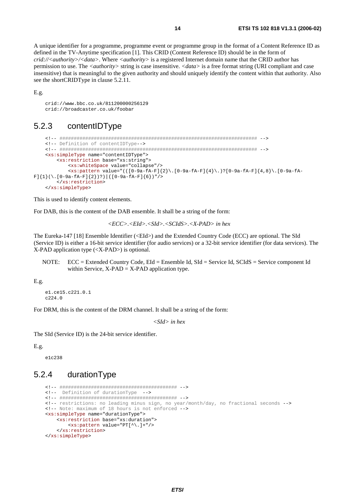A unique identifier for a programme, programme event or programme group in the format of a Content Reference ID as defined in the TV-Anytime specification [1]. This CRID (Content Reference ID) should be in the form of *crid://<authority>/<data>*. Where *<authority>* is a registered Internet domain name that the CRID author has permission to use. The *<authority>* string is case insensitive. *<data>* is a free format string (URI compliant and case insensitive) that is meaningful to the given authority and should uniquely identify the content within that authority. Also see the shortCRIDType in clause 5.2.11.

E.g.

 crid://www.bbc.co.uk/811200000256129 crid://broadcaster.co.uk/foobar

### 5.2.3 contentIDType

```
 <!-- ##################################################################### --> 
      <!-- Definition of contentIDType--> 
      <!-- ##################################################################### --> 
      <xs:simpleType name="contentIDType"> 
            <xs:restriction base="xs:string"> 
                 <xs:whiteSpace value="collapse"/> 
                \langle x \rangle <xs:pattern value="(([0-9a-fA-F]{2}\.[0-9a-fA-F]{4}\.)?[0-9a-fA-F]{4,8}\.[0-9a-fA-
F\,]\,\{\,1\,\}\,(\,\mathcal{\mathcal{N}}\,.\,\,[\,0-9a-fA-F\,]\,\{\,2\,\}\,)\,\,\gamma\,) \,\,\big|\,\,(\,[\,0-9a-fA-F\,]\,\{\,6\,\}\,)\,\text{''}\,\,\mathcal{\mathcal{N}} </xs:restriction> 
      </xs:simpleType>
```
This is used to identify content elements.

For DAB, this is the content of the DAB ensemble. It shall be a string of the form:

$$
<\!\!ECC\!\!>.<\!\!EId\!\!>.<\!\!SId\!\!>.<\!\!SCHdS\!\!>.<\!\!X\!\!-\!\!PAD\!\!>in hex
$$

The Eureka-147 [18] Ensemble Identifier (<EId>) and the Extended Country Code (ECC) are optional. The SId (Service ID) is either a 16-bit service identifier (for audio services) or a 32-bit service identifier (for data services). The X-PAD application type (<X-PAD>) is optional.

NOTE: ECC = Extended Country Code, EId = Ensemble Id, SId = Service Id, SCIdS = Service component Id within Service,  $X-PAD = X-PAD$  application type.

E.g.

```
 e1.ce15.c221.0.1 
 c224.0
```
For DRM, this is the content of the DRM channel. It shall be a string of the form:

*<SId> in hex* 

The SId (Service ID) is the 24-bit service identifier.

#### E.g.

e1c238

### 5.2.4 durationType

```
 <!-- ######################################### --> 
 <!-- Definition of durationType --> 
 <!-- ######################################### --> 
 <!-- restrictions: no leading minus sign, no year/month/day, no fractional seconds --> 
 <!-- Note: maximum of 18 hours is not enforced --> 
 <xs:simpleType name="durationType"> 
     <xs:restriction base="xs:duration"> 
         <xs:pattern value="PT[^\.]+"/> 
     </xs:restriction> 
 </xs:simpleType>
```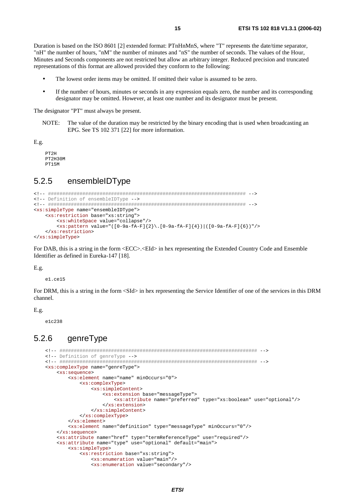Duration is based on the ISO 8601 [2] extended format: PTnHnMnS, where "T" represents the date/time separator, "nH" the number of hours, "nM" the number of minutes and "nS" the number of seconds. The values of the Hour, Minutes and Seconds components are not restricted but allow an arbitrary integer. Reduced precision and truncated representations of this format are allowed provided they conform to the following:

- The lowest order items may be omitted. If omitted their value is assumed to be zero.
- If the number of hours, minutes or seconds in any expression equals zero, the number and its corresponding designator may be omitted. However, at least one number and its designator must be present.

The designator "PT" must always be present.

NOTE: The value of the duration may be restricted by the binary encoding that is used when broadcasting an EPG. See TS 102 371 [22] for more information.

E.g.

 PT2H PT2H30M PT15M

### 5.2.5 ensembleIDType

```
<!-- ##################################################################### --> 
<!-- Definition of ensembleIDType --> 
<!-- ##################################################################### --> 
<xs:simpleType name="ensembleIDType"> 
     <xs:restriction base="xs:string"> 
         <xs:whiteSpace value="collapse"/> 
        \langle x, x : \text{pattern value} = "([0-9a-fA-F]\{2\}, [0-9a-fA-F]\{4\}) | ([0-9a-fA-F]\{6\})" \rangle </xs:restriction> 
</xs:simpleType>
```
For DAB, this is a string in the form  $\langle ECC \rangle$ . EId> in hex representing the Extended Country Code and Ensemble Identifier as defined in Eureka-147 [18].

E.g.

e1.ce15

For DRM, this is a string in the form <SId> in hex representing the Service Identifier of one of the services in this DRM channel.

E.g.

e1c238

### 5.2.6 genreType

```
 <!-- ##################################################################### --> 
 <!-- Definition of genreType --> 
 <!-- ##################################################################### --> 
 <xs:complexType name="genreType"> 
     <xs:sequence> 
         <xs:element name="name" minOccurs="0"> 
             <xs:complexType> 
                  <xs:simpleContent> 
                      <xs:extension base="messageType"> 
                          <xs:attribute name="preferred" type="xs:boolean" use="optional"/> 
                      </xs:extension> 
                  </xs:simpleContent> 
             </xs:complexType> 
         </xs:element> 
         <xs:element name="definition" type="messageType" minOccurs="0"/> 
     </xs:sequence> 
     <xs:attribute name="href" type="termReferenceType" use="required"/> 
     <xs:attribute name="type" use="optional" default="main"> 
         <xs:simpleType> 
              <xs:restriction base="xs:string"> 
                  <xs:enumeration value="main"/> 
                  <xs:enumeration value="secondary"/>
```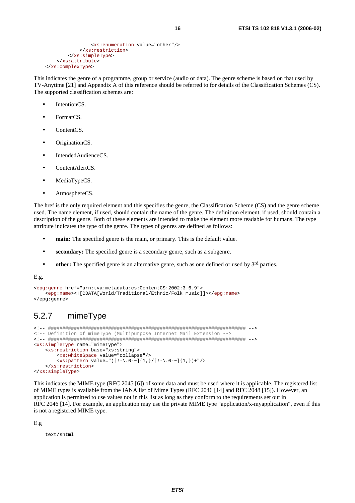```
 <xs:enumeration value="other"/> 
              </xs:restriction> 
         </xs:simpleType> 
     </xs:attribute> 
 </xs:complexType>
```
This indicates the genre of a programme, group or service (audio or data). The genre scheme is based on that used by TV-Anytime [21] and Appendix A of this reference should be referred to for details of the Classification Schemes (CS). The supported classification schemes are:

- IntentionCS.
- FormatCS.
- ContentCS.
- OriginationCS.
- Intended Audience CS.
- ContentAlertCS.
- MediaTypeCS.
- AtmosphereCS.

The href is the only required element and this specifies the genre, the Classification Scheme (CS) and the genre scheme used. The name element, if used, should contain the name of the genre. The definition element, if used, should contain a description of the genre. Both of these elements are intended to make the element more readable for humans. The type attribute indicates the type of the genre. The types of genres are defined as follows:

- **main:** The specified genre is the main, or primary. This is the default value.
- **secondary:** The specified genre is a secondary genre, such as a subgenre.
- **other:** The specified genre is an alternative genre, such as one defined or used by 3<sup>rd</sup> parties.

E.g.

```
<epg:genre href="urn:tva:metadata:cs:ContentCS:2002:3.6.9"> 
     <epg:name><![CDATA[World/Traditional/Ethnic/Folk music]]></epg:name> 
</epg:genre>
```
## 5.2.7 mimeType

```
<!-- ##################################################################### --> 
<!-- Definition of mimeType (Multipurpose Internet Mail Extension --> 
<!-- ##################################################################### --> 
<xs:simpleType name="mimeType"> 
     <xs:restriction base="xs:string"> 
         <xs:whiteSpace value="collapse"/> 
        \langle x \rangle <xs:pattern value="([!-\.0-~]{1,}/[!-\.0-~]{1,})+"/>
     </xs:restriction> 
</xs:simpleType>
```
This indicates the MIME type (RFC 2045 [6]) of some data and must be used where it is applicable. The registered list of MIME types is available from the IANA list of Mime Types (RFC 2046 [14] and RFC 2048 [15]). However, an application is permitted to use values not in this list as long as they conform to the requirements set out in RFC 2046 [14]. For example, an application may use the private MIME type "application/x-myapplication", even if this is not a registered MIME type.

E.g

text/shtml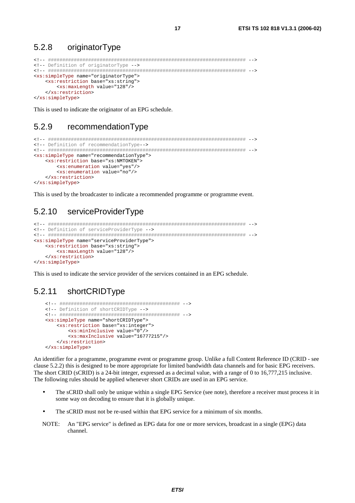#### 5.2.8 originatorType

```
<!-- Definition of originatorType -->
<xs:simpleType name="originatorType">
  <xs:restriction base="xs:string">
   <xs:maxLength value="128"/>
  </xs:restriction>
</xs:simpleType>
```
This is used to indicate the originator of an EPG schedule.

#### 5.2.9 recommendationType

```
<!-- Definition of recommendationType-->
<xs:simpleType name="recommendationType">
  <xs:restriction base="xs:NMTOKEN">
    <xs:enumeration value="yes"/>
    <xs:enumeration value="no"/>
  </xs:restriction>
</xs:simpleType>
```
This is used by the broadcaster to indicate a recommended programme or programme event.

#### 5.2.10 serviceProviderType

```
<!-- Definition of serviceProviderType -->
<xs:simpleType name="serviceProviderType">
  <xs:restriction base="xs:string">
    <xs:maxLength value="128"/>
  </xs:restriction>
</xs:simpleType>
```
This is used to indicate the service provider of the services contained in an EPG schedule.

#### 5.2.11 shortCRIDType

```
<!-- Definition of shortCRIDType -->
<xs:simpleType name="shortCRIDType">
  <xs:restriction base="xs:integer">
     <xs:minInclusive value="0"/>
     <xs:maxInclusive value="16777215"/>
  </xs:restriction>
</xs:simpleType>
```
An identifier for a programme, programme event or programme group. Unlike a full Content Reference ID (CRID - see clause 5.2.2) this is designed to be more appropriate for limited bandwidth data channels and for basic EPG receivers. The short CRID (sCRID) is a 24-bit integer, expressed as a decimal value, with a range of 0 to 16,777,215 inclusive. The following rules should be applied whenever short CRIDs are used in an EPG service.

- The sCRID shall only be unique within a single EPG Service (see note), therefore a receiver must process it in some way on decoding to ensure that it is globally unique.
- The sCRID must not be re-used within that EPG service for a minimum of six months.
- NOTE: An "EPG service" is defined as EPG data for one or more services, broadcast in a single (EPG) data channel.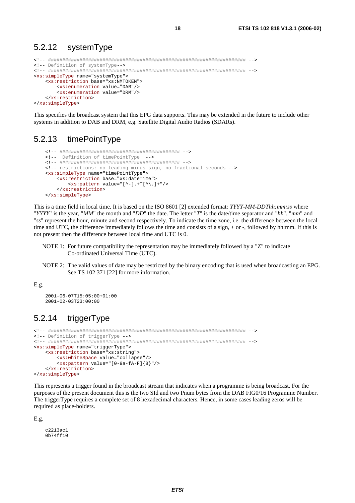#### 5.2.12 systemType

```
<!-- Definition of systemType -- >
<xs:simpleType name="systemType">
  <xs:restriction base="xs:NMTOKEN">
    <xs:enumeration value="DAB"/>
    <xs:enumeration value="DRM"/>
  </xs:restriction>
</xs:simpleType>
```
This specifies the broadcast system that this EPG data supports. This may be extended in the future to include other systems in addition to DAB and DRM, e.g. Satellite Digital Audio Radios (SDARs).

#### 5.2.13 timePointType

```
<!-- Definition of timePointType
                        - - -<!-- restrictions: no leading minus sign, no fractional seconds -->
<xs:simpleType name="timePointType">
   <xs:restriction base="xs:dateTime">
     <xs:pattern value="[^-].+T[^\.]+"/>
  </xs:restriction>
</xs:simpleType>
```
This is a time field in local time. It is based on the ISO 8601 [2] extended format: YYYY-MM-DDThh:mm:ss where "YYYY" is the year, "MM" the month and "DD" the date. The letter "T" is the date/time separator and "hh", "mm" and "ss" represent the hour, minute and second respectively. To indicate the time zone, i.e. the difference between the local time and UTC, the difference immediately follows the time and consists of a sign, + or -, followed by hh:mm. If this is not present then the difference between local time and UTC is 0.

- NOTE 1: For future compatibility the representation may be immediately followed by a "Z" to indicate Co-ordinated Universal Time (UTC).
- NOTE 2: The valid values of date may be restricted by the binary encoding that is used when broadcasting an EPG. See TS 102 371 [22] for more information.

#### $E.g.$

```
2001 - 06 - 07T15:05:00+01:002001 - 02 - 03T23:00:00
```
#### 5.2.14 triggerType

```
<!-- Definition of triggerType -->
<xs:simpleType name="triggerType">
  <xs:restriction base="xs:string">
    <xs:whiteSpace value="collapse"/>
    <xs:pattern value="[0-9a-fA-F]{8}"/>
  </xs:restriction>
</xs:simpleType>
```
This represents a trigger found in the broadcast stream that indicates when a programme is being broadcast. For the purposes of the present document this is the two SId and two Pnum bytes from the DAB FIG0/16 Programme Number. The triggerType requires a complete set of 8 hexadecimal characters. Hence, in some cases leading zeros will be required as place-holders.

 $E.g.$ 

 $02213201$ 0b74ff10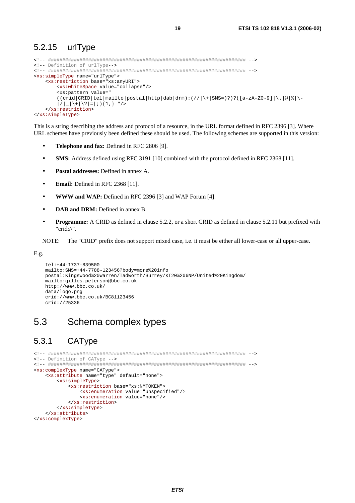### 5.2.15 urlType

```
<!-- ##################################################################### --> 
<!-- Definition of urlType--> 
<!-- ##################################################################### --> 
<xs:simpleType name="urlType"> 
     <xs:restriction base="xs:anyURI"> 
         <xs:whiteSpace value="collapse"/> 
        <xs:pattern value="
        ((\text{crid}|CRID|tel|mailto|postal|http|dab|drm):///\ |+|SMS=)??([a-zA-Z0-9]|\.|@|%|\-
        |/||\+|\?|=|;){1,} "/>
     </xs:restriction> 
</xs:simpleType>
```
This is a string describing the address and protocol of a resource, in the URL format defined in RFC 2396 [3]. Where URL schemes have previously been defined these should be used. The following schemes are supported in this version:

- **Telephone and fax:** Defined in RFC 2806 [9].
- **SMS:** Address defined using RFC 3191 [10] combined with the protocol defined in RFC 2368 [11].
- **Postal addresses:** Defined in annex A.
- **Email:** Defined in RFC 2368 [11].
- **WWW and WAP:** Defined in RFC 2396 [3] and WAP Forum [4].
- **DAB and DRM:** Defined in annex B.
- **Programme:** A CRID as defined in clause 5.2.2, or a short CRID as defined in clause 5.2.11 but prefixed with "crid://".

NOTE: The "CRID" prefix does not support mixed case, i.e. it must be either all lower-case or all upper-case.

E.g.

```
 tel:+44-1737-839500 
 mailto:SMS=+44-7788-123456?body=more%20info 
 postal:Kingswood%20Warren/Tadworth/Surrey/KT20%206NP/United%20Kingdom/ 
 mailto:gilles.peterson@bbc.co.uk 
 http://www.bbc.co.uk/ 
 data/logo.png 
 crid://www.bbc.co.uk/BC81123456 
 crid://25336
```
## 5.3 Schema complex types

## 5.3.1 CAType

```
<!-- ##################################################################### --> 
<!-- Definition of CAType --> 
<!-- ##################################################################### --> 
<xs:complexType name="CAType"> 
     <xs:attribute name="type" default="none"> 
         <xs:simpleType> 
             <xs:restriction base="xs:NMTOKEN"> 
                 <xs:enumeration value="unspecified"/> 
                 <xs:enumeration value="none"/> 
             </xs:restriction> 
         </xs:simpleType> 
     </xs:attribute> 
</xs:complexType>
```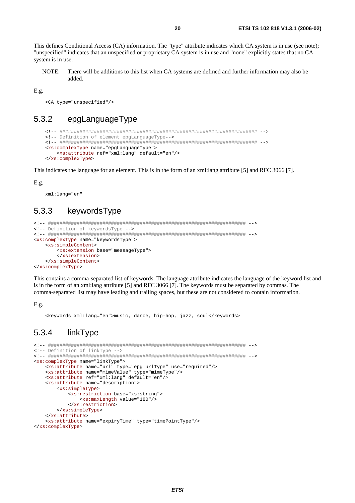This defines Conditional Access (CA) information. The "type" attribute indicates which CA system is in use (see note); "unspecified" indicates that an unspecified or proprietary CA system is in use and "none" explicitly states that no CA system is in use.

NOTE: There will be additions to this list when CA systems are defined and further information may also be added

 $E.g.$ 

<CA type="unspecified"/>

#### epgLanguageType  $5.3.2$

```
<!-- Definition of element epgLanguageType -- >
<xs:complexType name="epgLanguageType">
  <xs:attribute ref="xml:lang" default="en"/>
</xs:complexType>
```
This indicates the language for an element. This is in the form of an xml: lang attribute [5] and RFC 3066 [7].

 $E.g.$ 

xml:lang="en"

#### $5.3.3$ keywordsType

```
<!-- Definition of keywordsType -->
<xs:complexType name="keywordsType">
  \xixs: simpleContent>
    <xs:extension base="messageType">
    </xs:extension>
  </xs:simpleContent>
</xs:complexType>
```
This contains a comma-separated list of keywords. The language attribute indicates the language of the keyword list and is in the form of an xml:lang attribute [5] and RFC 3066 [7]. The keywords must be separated by commas. The comma-separated list may have leading and trailing spaces, but these are not considered to contain information.

 $E.g.$ 

<keywords xml:lang="en">music, dance, hip-hop, jazz, soul</keywords>

#### $5.3.4$ linkType

```
<!-- Definition of linkType -->
<xs:complexType name="linkType">
  <xs:attribute name="url" type="epg:urlType" use="required"/>
  <xs:attribute name="mimeValue" type="mimeType"/>
  <xs:attribute ref="xml:lang" default="en"/>
  <xs:attribute name="description">
      <xs:simpleType>
        <xs:restriction base="xs:string">
            <xs:maxLength value="180"/>
        </xs:restriction>
      </xs:simpleType>
   </xs:attribute>
  <xs:attribute name="expiryTime" type="timePointType"/>
</xs:complexType>
```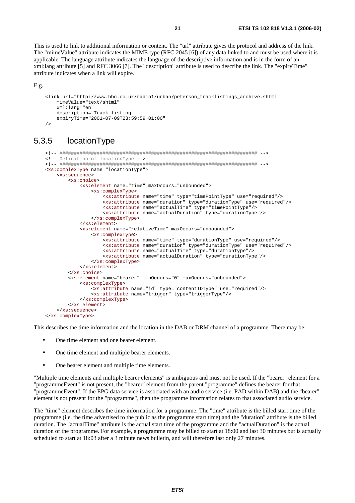This is used to link to additional information or content. The "url" attribute gives the protocol and address of the link. The "mimeValue" attribute indicates the MIME type (RFC 2045 [6]) of any data linked to and must be used where it is applicable. The language attribute indicates the language of the descriptive information and is in the form of an xml:lang attribute [5] and RFC 3066 [7]. The "description" attribute is used to describe the link. The "expiryTime" attribute indicates when a link will expire.

```
E.g.
```

```
 <link url="http://www.bbc.co.uk/radio1/urban/peterson_tracklistings_archive.shtml" 
     mimeValue="text/shtml" 
     xml:lang="en" 
     description="Track listing" 
     expiryTime="2001-07-09T23:59:59+01:00" 
/
```
## 5.3.5 locationType

```
 <!-- ##################################################################### --> 
 <!-- Definition of locationType --> 
 <!-- ##################################################################### --> 
 <xs:complexType name="locationType"> 
     <xs:sequence> 
         <xs:choice> 
             <xs:element name="time" maxOccurs="unbounded"> 
                  <xs:complexType> 
                      <xs:attribute name="time" type="timePointType" use="required"/> 
                      <xs:attribute name="duration" type="durationType" use="required"/> 
                      <xs:attribute name="actualTime" type="timePointType"/> 
                      <xs:attribute name="actualDuration" type="durationType"/> 
                  </xs:complexType> 
             </xs:element> 
              <xs:element name="relativeTime" maxOccurs="unbounded"> 
                  <xs:complexType> 
                      <xs:attribute name="time" type="durationType" use="required"/> 
                      <xs:attribute name="duration" type="durationType" use="required"/> 
                      <xs:attribute name="actualTime" type="durationType"/> 
                      <xs:attribute name="actualDuration" type="durationType"/> 
                  </xs:complexType> 
             </xs:element> 
         </xs:choice> 
         <xs:element name="bearer" minOccurs="0" maxOccurs="unbounded"> 
             <xs:complexType> 
                  <xs:attribute name="id" type="contentIDType" use="required"/> 
                  <xs:attribute name="trigger" type="triggerType"/> 
             </xs:complexType> 
         </xs:element> 
     </xs:sequence> 
 </xs:complexType>
```
This describes the time information and the location in the DAB or DRM channel of a programme. There may be:

- One time element and one bearer element.
- One time element and multiple bearer elements.
- One bearer element and multiple time elements.

"Multiple time elements and multiple bearer elements" is ambiguous and must not be used. If the "bearer" element for a "programmeEvent" is not present, the "bearer" element from the parent "programme" defines the bearer for that "programmeEvent". If the EPG data service is associated with an audio service (i.e. PAD within DAB) and the "bearer" element is not present for the "programme", then the programme information relates to that associated audio service.

The "time" element describes the time information for a programme. The "time" attribute is the billed start time of the programme (i.e. the time advertised to the public as the programme start time) and the "duration" attribute is the billed duration. The "actualTime" attribute is the actual start time of the programme and the "actualDuration" is the actual duration of the programme. For example, a programme may be billed to start at 18:00 and last 30 minutes but is actually scheduled to start at 18:03 after a 3 minute news bulletin, and will therefore last only 27 minutes.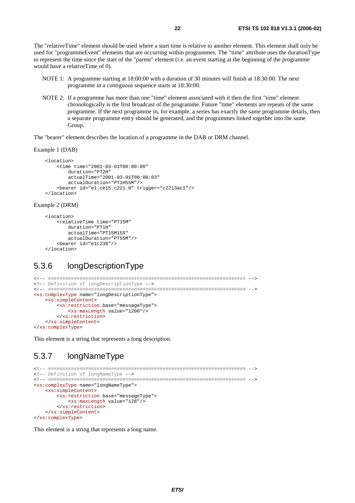The "relativeTime" element should be used where a start time is relative to another element. This element shall only be used for "programmeEvent" elements that are occurring within programmes. The "time" attribute uses the durationType to represent the time since the start of the "parent" element (i.e. an event starting at the beginning of the programme would have a relativeTime of 0).

- NOTE 1: A programme starting at 18:00:00 with a duration of 30 minutes will finish at 18:30:00. The next programme in a contiguous sequence starts at 18:30:00.
- NOTE 2: If a programme has more than one "time" element associated with it then the first "time" element chronologically is the first broadcast of the programme. Future "time" elements are repeats of the same programme. If the next programme in, for example, a series has exactly the same programme details, then a separate programme entry should be generated, and the programmes linked together into the same Group.

The "bearer" element describes the location of a programme in the DAB or DRM channel.

#### Example 1 (DAB)

```
 <location> 
     <time time="2001-03-01T00:00:00" 
         duration="PT2H" 
         actualTime="2001-03-01T00:00:03" 
         actualDuration="PT1H55M"/> 
     <bearer id="e1.ce15.c221.0" trigger="c2213ac1"/> 
 </location>
```
#### Example 2 (DRM)

```
 <location> 
     <relativeTime time="PT15M" 
         duration="PT1H" 
          actualTime="PT15M15S" 
         actualDuration="PT55M"/> 
     <bearer id="e1c238"/> 
 </location>
```
### 5.3.6 longDescriptionType

```
<!-- ##################################################################### --> 
<!-- Definition of longDescriptionType --> 
<!-- ##################################################################### --> 
<xs:complexType name="longDescriptionType"> 
     <xs:simpleContent> 
         <xs:restriction base="messageType"> 
             <xs:maxLength value="1200"/> 
         </xs:restriction> 
     </xs:simpleContent> 
</xs:complexType>
```
This element is a string that represents a long description.

### 5.3.7 longNameType

```
<!-- ##################################################################### --> 
<!-- Definition of longNameType --> 
<!-- ##################################################################### --> 
<xs:complexType name="longNameType"> 
     <xs:simpleContent> 
         <xs:restriction base="messageType"> 
             <xs:maxLength value="128"/> 
         </xs:restriction> 
     </xs:simpleContent> 
</xs:complexType>
```
This element is a string that represents a long name.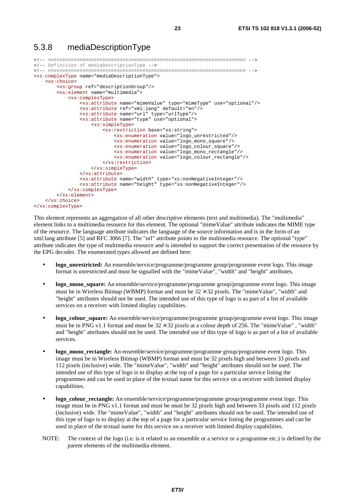### 5.3.8 mediaDescriptionType

```
<!-- ##################################################################### --> 
<!-- Definition of mediaDescriptionType --> 
<!-- ##################################################################### --> 
<xs:complexType name="mediaDescriptionType"> 
     <xs:choice> 
         <xs:group ref="descriptionGroup"/> 
         <xs:element name="multimedia"> 
             <xs:complexType> 
                  <xs:attribute name="mimeValue" type="mimeType" use="optional"/> 
                  <xs:attribute ref="xml:lang" default="en"/> 
                  <xs:attribute name="url" type="urlType"/> 
                  <xs:attribute name="type" use="optional"> 
                      <xs:simpleType> 
                          <xs:restriction base="xs:string"> 
                              <xs:enumeration value="logo_unrestricted"/> 
                               <xs:enumeration value="logo_mono_square"/> 
                              <xs:enumeration value="logo_colour_square"/> 
                               <xs:enumeration value="logo_mono_rectangle"/> 
                               <xs:enumeration value="logo_colour_rectangle"/> 
                          </xs:restriction> 
                      </xs:simpleType> 
                  </xs:attribute> 
                  <xs:attribute name="width" type="xs:nonNegativeInteger"/> 
                  <xs:attribute name="height" type="xs:nonNegativeInteger"/> 
             </xs:complexType> 
         </xs:element> 
     </xs:choice> 
</xs:complexType>
```
This element represents an aggregation of all other descriptive elements (text and multimedia). The "multimedia" element links to a multimedia resource for this element. The optional "mimeValue" attribute indicates the MIME type of the resource. The language attribute indicates the language of the source information and is in the form of an xml:lang attribute [5] and RFC 3066 [7]. The "url" attribute points to the multimedia resource. The optional "type" attribute indicates the type of multimedia resource and is intended to support the correct presentation of the resource by the EPG decoder. The enumerated types allowed are defined here:

- **logo\_unrestricted:** An ensemble/service/programme/programme group/programme event logo. This image format is unrestricted and must be signalled with the "mimeValue", "width" and "height" attributes.
- **logo\_mono\_square:** An ensemble/service/programme/programme group/programme event logo. This image must be in Wireless Bitmap (WBMP) format and must be  $32 \times 32$  pixels. The "mimeValue", "width" and "height" attributes should not be used. The intended use of this type of logo is as part of a list of available services on a receiver with limited display capabilities.
- **logo** colour square: An ensemble/service/programme/programme group/programme event logo. This image must be in PNG v1.1 format and must be  $32 \times 32$  pixels at a colour depth of 256. The "mimeValue" , "width" and "height" attributes should not be used. The intended use of this type of logo is as part of a list of available services.
- **logo** mono rectangle: An ensemble/service/programme/programme group/programme event logo. This image must be in Wireless Bitmap (WBMP) format and must be 32 pixels high and between 33 pixels and 112 pixels (inclusive) wide. The "mimeValue", "width" and "height" attributes should not be used. The intended use of this type of logo is to display at the top of a page for a particular service listing the programmes and can be used in place of the textual name for this service on a receiver with limited display capabilities.
- **logo** colour rectangle: An ensemble/service/programme/programme group/programme event logo. This image must be in PNG v1.1 format and must be must be 32 pixels high and between 33 pixels and 112 pixels (inclusive) wide. The "mimeValue", "width" and "height" attributes should not be used. The intended use of this type of logo is to display at the top of a page for a particular service listing the programmes and can be used in place of the textual name for this service on a receiver with limited display capabilities.
- NOTE: The context of the logo (i.e. is it related to an ensemble or a service or a programme etc.) is defined by the parent elements of the multimedia element.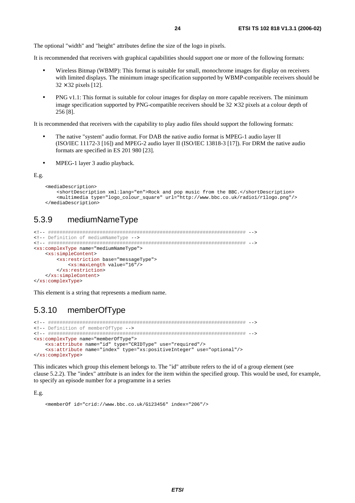The optional "width" and "height" attributes define the size of the logo in pixels.

It is recommended that receivers with graphical capabilities should support one or more of the following formats:

- Wireless Bitmap (WBMP): This format is suitable for small, monochrome images for display on receivers with limited displays. The minimum image specification supported by WBMP-compatible receivers should be  $32 \times 32$  pixels [12].
- PNG v1.1: This format is suitable for colour images for display on more capable receivers. The minimum image specification supported by PNG-compatible receivers should be  $32 \times 32$  pixels at a colour depth of 256 [8].

It is recommended that receivers with the capability to play audio files should support the following formats:

- The native "system" audio format. For DAB the native audio format is MPEG-1 audio layer II (ISO/IEC 11172-3 [16]) and MPEG-2 audio layer II (ISO/IEC 13818-3 [17]). For DRM the native audio formats are specified in ES 201 980 [23].
- MPEG-1 layer 3 audio playback.

#### E.g.

```
 <mediaDescription> 
     <shortDescription xml:lang="en">Rock and pop music from the BBC.</shortDescription> 
     <multimedia type="logo_colour_square" url="http://www.bbc.co.uk/radio1/r1logo.png"/> 
 </mediaDescription>
```
## 5.3.9 mediumNameType

```
<!-- ##################################################################### --> 
<!-- Definition of mediumNameType --> 
<!-- ##################################################################### --> 
<xs:complexType name="mediumNameType"> 
     <xs:simpleContent> 
         <xs:restriction base="messageType"> 
             <xs:maxLength value="16"/> 
         </xs:restriction> 
     </xs:simpleContent> 
</xs:complexType>
```
This element is a string that represents a medium name.

### 5.3.10 memberOfType

```
<!-- ##################################################################### --> 
<!-- Definition of memberOfType --> 
<!-- ##################################################################### --> 
<xs:complexType name="memberOfType"> 
     <xs:attribute name="id" type="CRIDType" use="required"/> 
     <xs:attribute name="index" type="xs:positiveInteger" use="optional"/> 
</xs:complexType>
```
This indicates which group this element belongs to. The "id" attribute refers to the id of a group element (see clause 5.2.2). The "index" attribute is an index for the item within the specified group. This would be used, for example, to specify an episode number for a programme in a series

E.g.

<memberOf id="crid://www.bbc.co.uk/G123456" index="206"/>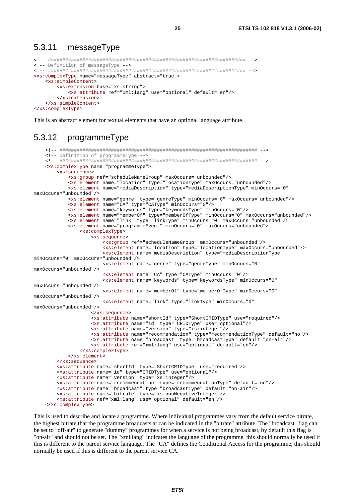#### 5.3.11 messageType

```
<!-- Definition of messageType -->
<xs:complexType name="messageType" abstract="true">
  <xs:simpleContent>
    <xs:extension base="xs:string">
       <xs:attribute ref="xml:lang" use="optional" default="en"/>
    </xs:extension>
  </xs:simpleContent>
</xs:complexType>
```
This is an abstract element for textual elements that have an optional language attribute.

#### 5.3.12 programmeType

```
<!-- Definition of programmeType -->
   <xs:complexType name="programmeType">
       <xs:sequence>
           <xs:group ref="scheduleNameGroup" maxOccurs="unbounded"/>
           <xs:element name="location" type="locationType" maxOccurs="unbounded"/>
           <xs:element name="mediaDescription" type="mediaDescriptionType" minOccurs="0"
maxOccurs="unbounded"/>
           <xs:element name="genre" type="genreType" minOccurs="0" maxOccurs="unbounded"/>
           <xs:element name="CA" type="CAType" minOccurs="0"/>
           <xs:element name="keywords" type="keywordsType" minOccurs="0"/>
           <xs:element name="member0f" type="member0fType" min0ccurs="0" max0ccurs="unbounded"/>
           <xs:element name="link" type="linkType" minOccurs="0" maxOccurs="unbounded"/>
           <xs:element name="programmeEvent" minOccurs="0" maxOccurs="unbounded">
               <xs:complexType>
                   <xs:sequence>
                      <xs:group ref="scheduleNameGroup" maxOccurs="unbounded"/>
                       <xs:element name="location" type="locationType" maxOccurs="unbounded"/>
                       <xs:element name="mediaDescription" type="mediaDescriptionType"
minOccurs="0" maxOccurs="unbounded"/>
                       <xs:element name="genre" type="genreType" minOccurs="0"
maxOccurs="unbounded"/>
                       <xs:element name="CA" type="CAType" minOccurs="0"/>
                       <xs:element name="keywords" type="keywordsType" minOccurs="0"
maxOccurs="unbounded"/>
                      <xs:element name="memberOf" type="memberOfType" minOccurs="0"
maxOccurs="unbounded"/>
                      <xs:element name="link" type="linkType" minOccurs="0"
maxOccurs="unbounded"/>
                   </xs:sequence>
                   <xs:attribute name="shortId" type="ShortCRIDType" use="required"/>
                   <xs:attribute name="id" type="CRIDType" use="optional"/>
                   <xs:attribute name="version" type="xs:integer"/>
                   <xs:attribute name="recommendation" type="recommendationType" default="no"/>
                   <xs:attribute name="broadcast" type="broadcastType" default="on-air"/>
                   <xs:attribute ref="xml:lang" use="optional" default="en"/>
               </xs:complexType>
           \langle x s :element>
       </xs:sequence>
       <xs:attribute name="shortId" type="ShortCRIDType" use="required"/>
       <xs:attribute name="id" type="CRIDType" use="optional"/>
       <xs:attribute name="version" type="xs:integer"/>
       <xs:attribute name="recommendation" type="recommendationType" default="no"/>
        <xs:attribute name="broadcast" type="broadcastType" default="on-air"/>
       <xs:attribute name="bitrate" type="xs:nonNegativeInteger"/>
       <xs:attribute ref="xml:lang" use="optional" default="en"/>
   </xs:complexType>
```
This is used to describe and locate a programme. Where individual programmes vary from the default service bitrate, the highest bitrate that the programme broadcasts at can be indicated in the "bitrate" attribute. The "broadcast" flag can be set to "off-air" to generate "dummy" programmes for when a service is not being broadcast, by default this flag is "on-air" and should not be set. The "xml:lang" indicates the language of the programme, this should normally be used if this is different to the parent service language. The "CA" defines the Conditional Access for the programme, this should normally be used if this is different to the parent service CA.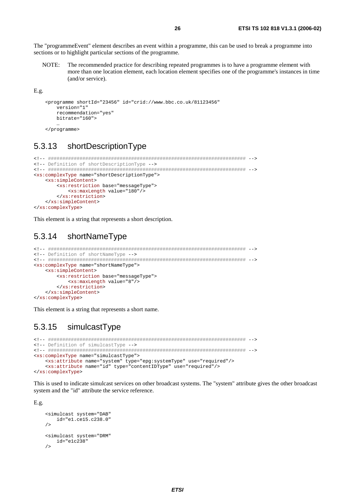The "programmeEvent" element describes an event within a programme, this can be used to break a programme into sections or to highlight particular sections of the programme.

The recommended practice for describing repeated programmes is to have a programme element with  $NOTF.$ more than one location element, each location element specifies one of the programme's instances in time (and/or service).

 $E.g.$ 

```
<programme shortId="23456" id="crid://www.bbc.co.uk/81123456"
    version="1"
   recommendation="yes"
   bitrate="160">
```
</programme>

#### 5 3 1 3 shortDescriptionType

```
<!-- Definition of shortDescriptionType -->
<xs:complexType name="shortDescriptionType">
  <xs:simpleContent>
     <xs:restriction base="messageType">
       <xs:maxLength value="180"/>
     </xs:restriction>
  \frac{2}{x} </xs:simpleContent>
</xs:complexType>
```
This element is a string that represents a short description.

#### shortNameTvpe 5 3 14

```
<!-- Definition of shortNameType -->
<xs:complexType name="shortNameType">
  <xs:simpleContent>
    <xs:restriction base="messageType">
      <xs:maxLength value="8"/>
    </xs:restriction>
  </xs:simpleContent>
</xs:complexType>
```
This element is a string that represents a short name.

#### 5.3.15 simulcastType

```
<!-- Definition of simulcastType -->
<xs:complexType name="simulcastType">
  <xs:attribute name="system" type="epg:systemType" use="required"/>
  <xs:attribute name="id" type="contentIDType" use="required"/>
</xs:complexType>
```
This is used to indicate simulcast services on other broadcast systems. The "system" attribute gives the other broadcast system and the "id" attribute the service reference.

 $E.g.$ 

```
<simulcast system="DAB"
    id="e1.ce15.c238.0"
\sqrt{ }<simulcast system="DRM"
    id="ele1c238"\sqrt{2}
```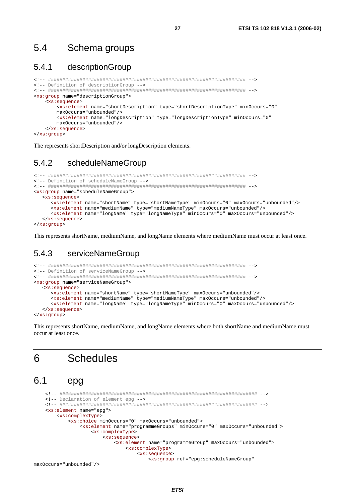#### $5.4$ Schema groups

#### $5.4.1$ descriptionGroup

```
<!-- Definition of descriptionGroup -->
<xs: group name="descriptionGroup">
  <xs:sequence>
     <xs:element name="shortDescription" type="shortDescriptionType" minOccurs="0"
     maxOccurs="unbounded"/>
     <xs:element name="longDescription" type="longDescriptionType" minOccurs="0"
     maxOccurs="unbounded"</xs:sequence>
</xs:group>
```
The represents shortDescription and/or longDescription elements.

#### 542 scheduleNameGroup

```
<!-- Definition of scheduleNameGroup -->
<xs:group name="scheduleNameGroup">
  <xs:sequence>
    <xs:element name="shortName" type="shortNameType" minOccurs="0" maxOccurs="unbounded"/>
    <xs:element name="mediumName" type="mediumNameType" maxOccurs="unbounded"/>
    <xs:element name="longName" type="longNameType" minOccurs="0" maxOccurs="unbounded"/>
  \langle x s : \text{sequence} \rangle</xs:group>
```
This represents shortName, mediumName, and longName elements where mediumName must occur at least once.

#### 543 serviceNameGroup

```
<!-- Definition of serviceNameGroup -->
<xs:group name="serviceNameGroup">
  <xs:sequence>
    <xs:element name="shortName" type="shortNameType" maxOccurs="unbounded"/>
    <xs:element name="mediumName" type="mediumNameType" maxOccurs="unbounded"/>
    <xs:element name="longName" type="longNameType" minOccurs="0" maxOccurs="unbounded"/>
  </xs:sequence>
</xs:group>
```
This represents shortName, mediumName, and longName elements where both shortName and mediumName must occur at least once.

#### **Schedules** 6

#### $6.1$ epg

```
<!-- Declaration of element epq -->
<xs:element name="epg">
  <xs:complexType>
     <xs:choice minOccurs="0" maxOccurs="unbounded">
        <xs:element name="programmeGroups" minOccurs="0" maxOccurs="unbounded">
           <xs:complexType>
              <xs:sequence>
                <xs:element name="programmeGroup" maxOccurs="unbounded">
                   <xs:complexType>
                      <xs:sequence>
                         <xs:group ref="epg:scheduleNameGroup"
```

```
maxOccurs="unbounded"/>
```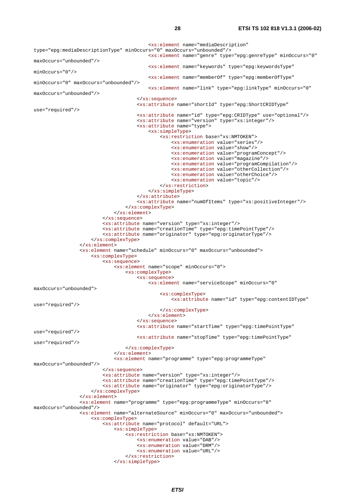<xs:element name="mediaDescription" type="epg:mediaDescriptionType" minOccurs="0" maxOccurs="unbounded"/> <xs:element name="genre" type="epg:genreType" minOccurs="0" maxOccurs="unbounded"/> <xs:element name="keywords" type="epg:keywordsType" minOccurs="0"/> <xs:element name="memberOf" type="epg:memberOfType" minOccurs="0" maxOccurs="unbounded"/> <xs:element name="link" type="epg:linkType" minOccurs="0" maxOccurs="unbounded"/> </xs:sequence> <xs:attribute name="shortId" type="epg:ShortCRIDType" use="required"/> <xs:attribute name="id" type="epg:CRIDType" use="optional"/> <xs:attribute name="version" type="xs:integer"/> <xs:attribute name="type"> <xs:simpleType> <xs:restriction base="xs:NMTOKEN"> <xs:enumeration value="series"/> <xs:enumeration value="show"/> <xs:enumeration value="programConcept"/> <xs:enumeration value="magazine"/> <xs:enumeration value="programCompilation"/> <xs:enumeration value="otherCollection"/> <xs:enumeration value="otherChoice"/> <xs:enumeration value="topic"/> </xs:restriction> </xs:simpleType> </xs:attribute> <xs:attribute name="numOfItems" type="xs:positiveInteger"/> </xs:complexType> </xs:element> </xs:sequence> <xs:attribute name="version" type="xs:integer"/> <xs:attribute name="creationTime" type="epg:timePointType"/> <xs:attribute name="originator" type="epg:originatorType"/> </xs:complexType> </xs:element> <xs:element name="schedule" minOccurs="0" maxOccurs="unbounded"> <xs:complexType> <xs:sequence> <xs:element name="scope" minOccurs="0"> <xs:complexType> <xs:sequence> <xs:element name="serviceScope" minOccurs="0" maxOccurs="unbounded"> <xs:complexType> <xs:attribute name="id" type="epg:contentIDType" use="required"/> </xs:complexType> </xs:element> </xs:sequence> <xs:attribute name="startTime" type="epg:timePointType" use="required"/> <xs:attribute name="stopTime" type="epg:timePointType" use="required"/> </xs:complexType> </xs:element> <xs:element name="programme" type="epg:programmeType" maxOccurs="unbounded"/> </xs:sequence> <xs:attribute name="version" type="xs:integer"/> <xs:attribute name="creationTime" type="epg:timePointType"/> <xs:attribute name="originator" type="epg:originatorType"/> </xs:complexType> </xs:element> <xs:element name="programme" type="epg:programmeType" minOccurs="0" maxOccurs="unbounded"/> <xs:element name="alternateSource" minOccurs="0" maxOccurs="unbounded"> <xs:complexType> <xs:attribute name="protocol" default="URL"> <xs:simpleType> <xs:restriction base="xs:NMTOKEN"> <xs:enumeration value="DAB"/> <xs:enumeration value="DRM"/> <xs:enumeration value="URL"/> </xs:restriction>

</xs:simpleType>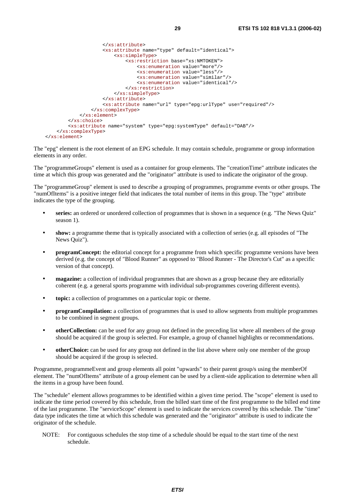```
 </xs:attribute> 
                       <xs:attribute name="type" default="identical"> 
                           <xs:simpleType> 
                                <xs:restriction base="xs:NMTOKEN"> 
                                    <xs:enumeration value="more"/> 
                                    <xs:enumeration value="less"/> 
                                    <xs:enumeration value="similar"/> 
                                    <xs:enumeration value="identical"/> 
                                </xs:restriction> 
                           </xs:simpleType> 
                       </xs:attribute> 
                       <xs:attribute name="url" type="epg:urlType" use="required"/> 
                  </xs:complexType> 
              </xs:element> 
         </xs:choice> 
         <xs:attribute name="system" type="epg:systemType" default="DAB"/> 
     </xs:complexType> 
 </xs:element>
```
The "epg" element is the root element of an EPG schedule. It may contain schedule, programme or group information elements in any order.

The "programmeGroups" element is used as a container for group elements. The "creationTime" attribute indicates the time at which this group was generated and the "originator" attribute is used to indicate the originator of the group.

The "programmeGroup" element is used to describe a grouping of programmes, programme events or other groups. The "numOfItems" is a positive integer field that indicates the total number of items in this group. The "type" attribute indicates the type of the grouping.

- **series:** an ordered or unordered collection of programmes that is shown in a sequence (e.g. "The News Quiz" season 1).
- **show:** a programme theme that is typically associated with a collection of series (e.g. all episodes of "The News Quiz").
- **programConcept:** the editorial concept for a programme from which specific programme versions have been derived (e.g. the concept of "Blood Runner" as opposed to "Blood Runner - The Director's Cut" as a specific version of that concept).
- **magazine:** a collection of individual programmes that are shown as a group because they are editorially coherent (e.g. a general sports programme with individual sub-programmes covering different events).
- **topic:** a collection of programmes on a particular topic or theme.
- **programCompilation:** a collection of programmes that is used to allow segments from multiple programmes to be combined in segment groups.
- **otherCollection:** can be used for any group not defined in the preceding list where all members of the group should be acquired if the group is selected. For example, a group of channel highlights or recommendations.
- **otherChoice:** can be used for any group not defined in the list above where only one member of the group should be acquired if the group is selected.

Programme, programmeEvent and group elements all point "upwards" to their parent group/s using the memberOf element. The "numOfItems" attribute of a group element can be used by a client-side application to determine when all the items in a group have been found.

The "schedule" element allows programmes to be identified within a given time period. The "scope" element is used to indicate the time period covered by this schedule, from the billed start time of the first programme to the billed end time of the last programme. The "serviceScope" element is used to indicate the services covered by this schedule. The "time" data type indicates the time at which this schedule was generated and the "originator" attribute is used to indicate the originator of the schedule.

NOTE: For contiguous schedules the stop time of a schedule should be equal to the start time of the next schedule.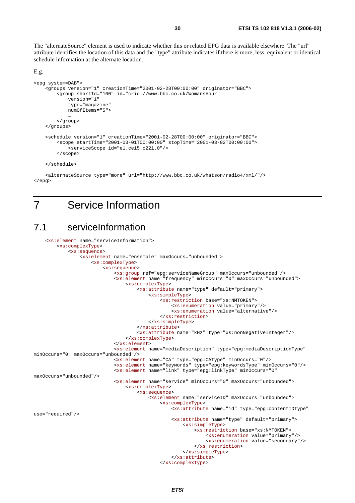The "alternateSource" element is used to indicate whether this or related EPG data is available elsewhere. The "url" attribute identifies the location of this data and the "type" attribute indicates if there is more, less, equivalent or identical schedule information at the alternate location.

#### E.g.

```
<epg system=DAB"> 
     <groups version="1" creationTime="2001-02-28T00:00:00" originator="BBC"> 
         <group shortId="100" id="crid://www.bbc.co.uk/WomansHour" 
             version="1" 
             type="magazine" 
             numOfItems="5"> 
 … 
         </group> 
     </groups> 
     <schedule version="1" creationTime="2001-02-28T00:00:00" originator="BBC"> 
         <scope startTime="2001-03-01T00:00:00" stopTime="2001-03-02T00:00:00"> 
             <serviceScope id="e1.ce15.c221.0"/> 
         </scope> 
 … 
     </schedule>
```
 <alternateSource type="more" url="http://www.bbc.co.uk/whatson/radio4/xml/"/> </epg>

## 7 Service Information

## 7.1 serviceInformation

```
 <xs:element name="serviceInformation"> 
         <xs:complexType> 
              <xs:sequence> 
                  <xs:element name="ensemble" maxOccurs="unbounded"> 
                      <xs:complexType> 
                           <xs:sequence> 
                               <xs:group ref="epg:serviceNameGroup" maxOccurs="unbounded"/> 
                               <xs:element name="frequency" minOccurs="0" maxOccurs="unbounded"> 
                                   <xs:complexType> 
                                        <xs:attribute name="type" default="primary"> 
                                            <xs:simpleType> 
                                                <xs:restriction base="xs:NMTOKEN"> 
                                                     <xs:enumeration value="primary"/> 
                                                    <xs:enumeration value="alternative"/> 
                                                </xs:restriction> 
                                            </xs:simpleType> 
                                        </xs:attribute> 
                                        <xs:attribute name="kHz" type="xs:nonNegativeInteger"/> 
                                   </xs:complexType> 
                               </xs:element> 
                               <xs:element name="mediaDescription" type="epg:mediaDescriptionType" 
minOccurs="0" maxOccurs="unbounded"/> 
                               <xs:element name="CA" type="epg:CAType" minOccurs="0"/> 
                               <xs:element name="keywords" type="epg:keywordsType" minOccurs="0"/> 
                               <xs:element name="link" type="epg:linkType" minOccurs="0" 
maxOccurs="unbounded"/> 
                               <xs:element name="service" minOccurs="0" maxOccurs="unbounded"> 
                                   <xs:complexType> 
                                        <xs:sequence> 
                                            <xs:element name="serviceID" maxOccurs="unbounded"> 
                                                <xs:complexType> 
                                                     <xs:attribute name="id" type="epg:contentIDType" 
use="required"/> 
                                                    <xs:attribute name="type" default="primary"> 
                                                         <xs:simpleType> 
                                                             <xs:restriction base="xs:NMTOKEN"> 
                                                                  <xs:enumeration value="primary"/> 
                                                                 <xs:enumeration value="secondary"/> 
                                                             </xs:restriction> 
                                                         </xs:simpleType> 
                                                     </xs:attribute> 
                                                </xs:complexType>
```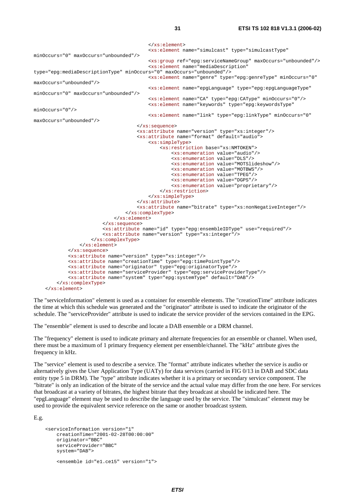```
 </xs:element> 
                                            <xs:element name="simulcast" type="simulcastType" 
minOccurs="0" maxOccurs="unbounded"/> 
                                           <xs:group ref="epg:serviceNameGroup" maxOccurs="unbounded"/> 
                                           <xs:element name="mediaDescription" 
type="epg:mediaDescriptionType" minOccurs="0" maxOccurs="unbounded"/> 
                                           <xs:element name="genre" type="epg:genreType" minOccurs="0" 
maxOccurs="unbounded"/> 
                                           <xs:element name="epgLanguage" type="epg:epgLanguageType" 
minOccurs="0" maxOccurs="unbounded"/> 
                                           <xs:element name="CA" type="epg:CAType" minOccurs="0"/> 
                                           <xs:element name="keywords" type="epg:keywordsType" 
minOccurs="0"/> 
                                           <xs:element name="link" type="epg:linkType" minOccurs="0" 
maxOccurs="unbounded"/> 
                                       </xs:sequence> 
                                       <xs:attribute name="version" type="xs:integer"/> 
                                       <xs:attribute name="format" default="audio"> 
                                           <xs:simpleType> 
                                                <xs:restriction base="xs:NMTOKEN"> 
                                                    <xs:enumeration value="audio"/> 
                                                    <xs:enumeration value="DLS"/> 
                                                    <xs:enumeration value="MOTSlideshow"/> 
                                                    <xs:enumeration value="MOTBWS"/> 
                                                    <xs:enumeration value="TPEG"/> 
                                                    <xs:enumeration value="DGPS"/> 
                                                    <xs:enumeration value="proprietary"/> 
                                                </xs:restriction> 
                                           </xs:simpleType> 
                                       </xs:attribute> 
                                       <xs:attribute name="bitrate" type="xs:nonNegativeInteger"/> 
                                   </xs:complexType> 
                              </xs:element> 
                          </xs:sequence> 
                          <xs:attribute name="id" type="epg:ensembleIDType" use="required"/> 
                          <xs:attribute name="version" type="xs:integer"/> 
                      </xs:complexType> 
                  </xs:element> 
             </xs:sequence> 
              <xs:attribute name="version" type="xs:integer"/> 
              <xs:attribute name="creationTime" type="epg:timePointType"/> 
             <xs:attribute name="originator" type="epg:originatorType"/> 
             <xs:attribute name="serviceProvider" type="epg:serviceProviderType"/> 
             <xs:attribute name="system" type="epg:systemType" default="DAB"/> 
         </xs:complexType> 
     </xs:element>
```
The "serviceInformation" element is used as a container for ensemble elements. The "creationTime" attribute indicates the time at which this schedule was generated and the "originator" attribute is used to indicate the originator of the schedule. The "serviceProvider" attribute is used to indicate the service provider of the services contained in the EPG.

The "ensemble" element is used to describe and locate a DAB ensemble or a DRM channel.

The "frequency" element is used to indicate primary and alternate frequencies for an ensemble or channel. When used, there must be a maximum of 1 primary frequency element per ensemble/channel. The "kHz" attribute gives the frequency in kHz.

The "service" element is used to describe a service. The "format" attribute indicates whether the service is audio or alternatively gives the User Application Type (UATy) for data services (carried in FIG 0/13 in DAB and SDC data entity type 5 in DRM). The "type" attribute indicates whether it is a primary or secondary service component. The "bitrate" is only an indication of the bitrate of the service and the actual value may differ from the one here. For services that broadcast at a variety of bitrates, the highest bitrate that they broadcast at should be indicated here. The "epgLanguage" element may be used to describe the language used by the service. The "simulcast" element may be used to provide the equivalent service reference on the same or another broadcast system.

E.g.

```
 <serviceInformation version="1" 
    creationTime="2001-02-28T00:00:00" 
     originator="BBC" 
     serviceProvider="BBC" 
     system="DAB"> 
     <ensemble id="e1.ce15" version="1">
```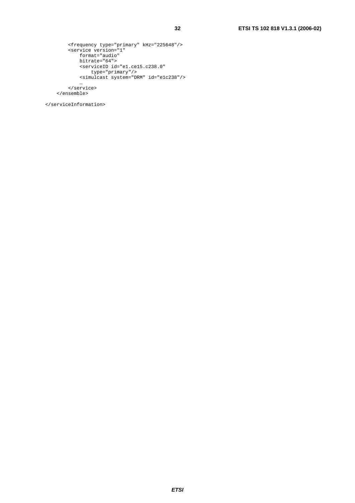```
 <frequency type="primary" kHz="225648"/> 
 <service version="1" 
 format="audio" 
             bitrate="64"> 
             <serviceID id="e1.ce15.c238.0" 
 type="primary"/> 
 <simulcast system="DRM" id="e1c238"/> 
man and the contract of the con-
 </service>
```
</ensemble>

</serviceInformation>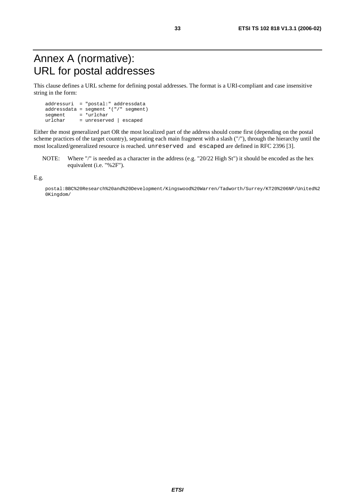## Annex A (normative): URL for postal addresses

This clause defines a URL scheme for defining postal addresses. The format is a URI-compliant and case insensitive string in the form:

 addressuri = "postal:" addressdata addressdata = segment \*("/" segment)  $\begin{array}{rcl}\n\text{segment} & = & * \text{urlchar} \\
\text{urlchar} & = & \text{unreserv}\n\end{array}$ = unreserved | escaped

Either the most generalized part OR the most localized part of the address should come first (depending on the postal scheme practices of the target country), separating each main fragment with a slash ("/"), through the hierarchy until the most localized/generalized resource is reached. unreserved and escaped are defined in RFC 2396 [3].

NOTE: Where "/" is needed as a character in the address (e.g. "20/22 High St") it should be encoded as the hex equivalent (i.e. "%2F").

E.g.

 postal:BBC%20Research%20and%20Development/Kingswood%20Warren/Tadworth/Surrey/KT20%206NP/United%2 0Kingdom/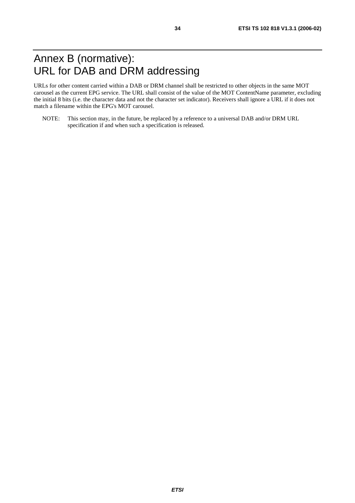## Annex B (normative): URL for DAB and DRM addressing

URLs for other content carried within a DAB or DRM channel shall be restricted to other objects in the same MOT carousel as the current EPG service. The URL shall consist of the value of the MOT ContentName parameter, excluding the initial 8 bits (i.e. the character data and not the character set indicator). Receivers shall ignore a URL if it does not match a filename within the EPG's MOT carousel.

NOTE: This section may, in the future, be replaced by a reference to a universal DAB and/or DRM URL specification if and when such a specification is released.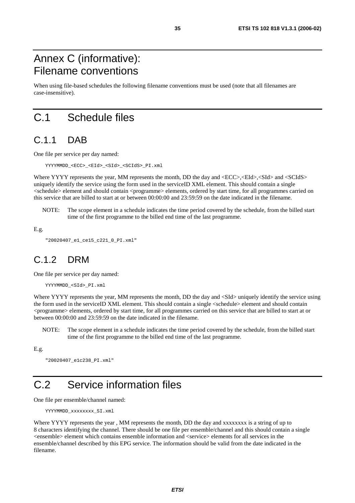## Annex C (informative): Filename conventions

When using file-based schedules the following filename conventions must be used (note that all filenames are case-insensitive).

## C.1 Schedule files

## C.1.1 DAB

One file per service per day named:

YYYYMMDD\_<ECC>\_<EId>\_<SId>\_<SCIdS>\_PI.xml

Where YYYY represents the year, MM represents the month, DD the day and  $\langle ECC \rangle$ ,  $\langle EId \rangle$ ,  $\langle SId \rangle$  and  $\langle SCId \rangle$ . uniquely identify the service using the form used in the serviceID XML element. This should contain a single <schedule> element and should contain <programme> elements, ordered by start time, for all programmes carried on this service that are billed to start at or between 00:00:00 and 23:59:59 on the date indicated in the filename.

NOTE: The scope element in a schedule indicates the time period covered by the schedule, from the billed start time of the first programme to the billed end time of the last programme.

E.g.

```
 "20020407_e1_ce15_c221_0_PI.xml"
```
## C.1.2 DRM

One file per service per day named:

```
 YYYYMMDD_<SId>_PI.xml
```
Where YYYY represents the year, MM represents the month, DD the day and <SId> uniquely identify the service using the form used in the serviceID XML element. This should contain a single <schedule> element and should contain <programme> elements, ordered by start time, for all programmes carried on this service that are billed to start at or between 00:00:00 and 23:59:59 on the date indicated in the filename.

NOTE: The scope element in a schedule indicates the time period covered by the schedule, from the billed start time of the first programme to the billed end time of the last programme.

E.g.

```
 "20020407_e1c238_PI.xml"
```
## C.2 Service information files

One file per ensemble/channel named:

```
YYYYMMDD_xxxxxxxx SI.xml
```
Where YYYY represents the year, MM represents the month, DD the day and xxxxxxxx is a string of up to 8 characters identifying the channel. There should be one file per ensemble/channel and this should contain a single <ensemble> element which contains ensemble information and <service> elements for all services in the ensemble/channel described by this EPG service. The information should be valid from the date indicated in the filename.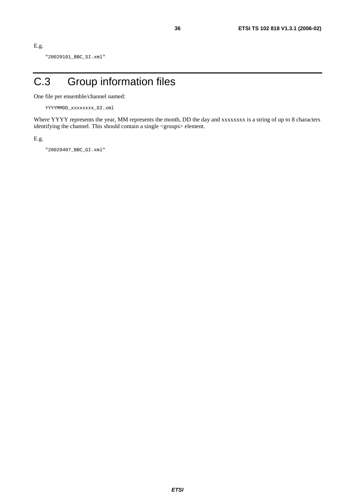```
E.g.
```
"20020101\_BBC\_SI.xml"

## C.3 Group information files

One file per ensemble/channel named:

```
 YYYYMMDD_xxxxxxxx_GI.xml
```
Where YYYY represents the year, MM represents the month, DD the day and xxxxxxxx is a string of up to 8 characters identifying the channel. This should contain a single <groups> element.

E.g.

"20020407\_BBC\_GI.xml"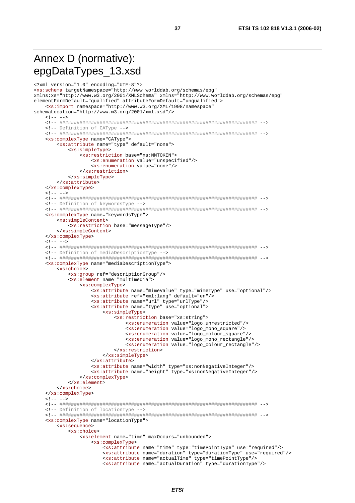## Annex D (normative): epgDataTypes\_13.xsd

```
<?xml version="1.0" encoding="UTF-8"?>
<xs:schema targetNamespace="http://www.worlddab.org/schemas/epg"
xmlns:xs="http://www.w3.org/2001/XMLSchema" xmlns="http://www.worlddab.org/schemas/epq"
elementFormDefault="qualified" attributeFormDefault="unqualified">
   <xs:import namespace="http://www.w3.org/XML/1998/namespace"
schemaLocation="http://www.w3.org/2001/xml.xsd"/>
   \leq 1 - - - -<!-- Definition of CAType -->
   <xs:complexType name="CAType">
      <xs:attribute name="type" default="none">
         <xs:simpleType>
             <xs:restriction base="xs:NMTOKEN">
                <xs:enumeration value="unspecified"/>
                <xs:enumeration value="none"/>
             </xs:restriction>
         \frac{2}{x}s:simpleType>
      \frac{2}{x}s: attribute>
   </xs:complexType>
   \lt!! -- -->
   <!-- Definition of keywordsType -->
   <xs:complexType name="keywordsType">
      <xs:simpleContent>
         <xs:restriction base="messageType"/>
      </xs:simpleContent>
   </xs:complexType>
   \lt!! -- -->
   <!-- Definition of mediaDescriptionType -->
   <xs:complexType name="mediaDescriptionType">
      <xs:choice>
          <xs:group ref="descriptionGroup"/>
          <xs:element name="multimedia">
             <xs:complexType>
                <xs:attribute name="mimeValue" type="mimeType" use="optional"/>
                <xs:attribute ref="xml:lang" default="en"/>
                <xs:attribute name="url" type="urlType"/>
                <xs:attribute name="type" use="optional">
                   <xs:simpleType>
                       <xs:restriction base="xs:string">
                          <xs:enumeration value="logo_unrestricted"/>
                          <xs:enumeration value="logo_mono_square"/>
                          <xs:enumeration value="logo colour square"/>
                          <xs:enumeration value="logo_mono_rectangle"/>
                          <xs:enumeration value="logo_colour_rectangle"/>
                       </xs:restriction>
                   </xs:simpleType>
                </xs:attribute>
                ....<br>
<xs:attribute name="width" type="xs:nonNegativeInteger"/><br>
<xs:attribute name="height" type="xs:nonNegativeInteger"/>
             </xs:complexType>
         </xs:element>
      \frac{1}{2}</xs:complexType>
   \leq 1 - - - -<!-- Definition of locationType -->
   <xs:complexType name="locationType">
      <xs:sequence>
         <xs:choice>
             <xs:element name="time" maxOccurs="unbounded">
                <xs:complexType>
                   <xs:attribute name="time" type="timePointType" use="required"/>
                   <xs:attribute name="duration" type="durationType" use="required"/>
                   <xs:attribute name="actualTime" type="timePointType"/>
                   <xs:attribute name="actualDuration" type="durationType"/>
```
37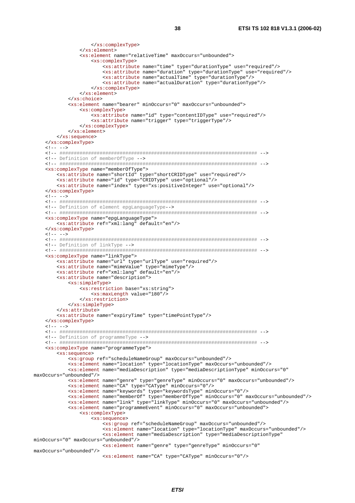```
</xs:complexType>
             \langle x s :element>
             <xs:element name="relativeTime" maxOccurs="unbounded">
                <xs:complexType>
                   <xs:attribute name="time" type="durationType" use="required"/>
                   <xs:attribute name="actualDuration" type="durationType"/>
                </xs:complexType>
             \frac{2}{x} </xs:element>
         </xs:choice>
         <xs:element name="bearer" minOccurs="0" maxOccurs="unbounded">
             <xs:complexType>
                <xs:attribute name="id" type="contentIDType" use="required"/>
                <xs:attribute name="trigger" type="triggerType"/>
             </xs:complexType>
         \epsilon/xs:element>
      \langle x s : \text{sequence} \rangle</xs:complexType>
   1 - - - -<!-- Definition of memberOfType -->
   <xs:complexType name="memberOfType">
      <xs:attribute name="shortId" type="shortCRIDType" use="required"/>
      <xs:attribute name="id" type="CRIDType" use="optional"/>
      <xs:attribute name="index" type="xs:positiveInteger" use="optional"/>
   </xs:complexType>
   21 - - - -<!-- Definition of element epgLanguageType-->
   <xs:complexType name="epgLanguageType">
      <xs:attribute ref="xml:lang" default="en"/>
   </xs:complexType>
   \lt!! -- -->
   <!-- Definition of linkType -->
   <xs:complexType name="linkType">
      <xs:attribute name="url" type="urlType" use="required"/>
      <xs:attribute name="mimeValue" type="mimeType"/>
      <xs:attribute ref="xml:lang" default="en"/>
      <xs:attribute name="description">
         <xs:simpleType>
             <xs:restriction base="xs:string">
               <xs:maxLength value="180"/>
             </xs:restriction>
         </xs:simpleType>
      </xs:attribute>
      <xs:attribute name="expiryTime" type="timePointType"/>
   </xs:complexType>
   21 - - - - -<!-- Definition of programmeType -->
   <xs:complexType name="programmeType">
      <xs:sequence>
         <xs:group ref="scheduleNameGroup" maxOccurs="unbounded"/>
         <xs:element name="location" type="locationType" maxOccurs="unbounded"/>
         <xs:element name="mediaDescription" type="mediaDescriptionType" minOccurs="0"
maxOccurs="unbounded"/>
         <xs:element name="genre" type="genreType" minOccurs="0" maxOccurs="unbounded"/>
         <xs:element name="CA" type="CAType" minOccurs="0"/>
         <xs:element name="keywords" type="keywordsType" minOccurs="0"/>
         <xs:element name="member0f" type="member0fType" min0ccurs="0" max0ccurs="unbounded"/>
          <xs:element name="link" type="linkType" minOccurs="0" maxOccurs="unbounded"/>
         <xs:element name="programmeEvent" minOccurs="0" maxOccurs="unbounded">
             <xs:complexType>
                <xs:sequence>
                   <xs:group ref="scheduleNameGroup" maxOccurs="unbounded"/>
                   <xs:element name="location" type="locationType" maxOccurs="unbounded"/>
                   <xs:element name="mediaDescription" type="mediaDescriptionType"
minOccurs="0" maxOccurs="unbounded"/>
                   <xs:element name="genre" type="genreType" minOccurs="0"
maxOccurs="unbounded"/>
                   <xs:element name="CA" type="CAType" minOccurs="0"/>
```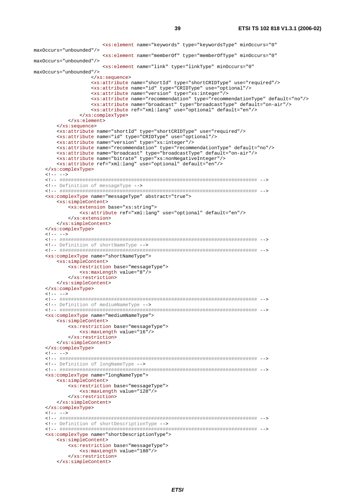<xs:element name="keywords" type="keywordsType" minOccurs="0" maxOccurs="unbounded"/> <xs:element name="memberOf" type="memberOfType" minOccurs="0" maxOccurs="unbounded"/> <xs:element name="link" type="linkType" minOccurs="0" maxOccurs="unbounded"/> </xs:sequence> <xs:attribute name="shortId" type="shortCRIDType" use="required"/> <xs:attribute name="id" type="CRIDType" use="optional"/> <xs:attribute name="version" type="xs:integer"/> <xs:attribute name="recommendation" type="recommendationType" default="no"/> <xs:attribute name="broadcast" type="broadcastType" default="on-air"/> <xs:attribute ref="xml:lang" use="optional" default="en"/> </xs:complexType> </xs:element> </xs:sequence> <xs:attribute name="shortId" type="shortCRIDType" use="required"/> <xs:attribute name="id" type="CRIDType" use="optional"/> <xs:attribute name="version" type="xs:integer"/> <xs:attribute name="recommendation" type="recommendationType" default="no"/> <xs:attribute name="broadcast" type="broadcastType" default="on-air"/> <xs:attribute name="bitrate" type="xs:nonNegativeInteger"/> <xs:attribute ref="xml:lang" use="optional" default="en"/> </xs:complexType>  $21 - - - - >$  <!-- ##################################################################### --> <!-- Definition of messageType --> <!-- ##################################################################### --> <xs:complexType name="messageType" abstract="true"> <xs:simpleContent> <xs:extension base="xs:string"> <xs:attribute ref="xml:lang" use="optional" default="en"/> </xs:extension> </xs:simpleContent> </xs:complexType>  $\lt!$ ! -- --> <!-- ##################################################################### --> <!-- Definition of shortNameType --> <!-- ##################################################################### --> <xs:complexType name="shortNameType"> <xs:simpleContent> <xs:restriction base="messageType"> <xs:maxLength value="8"/> </xs:restriction> </xs:simpleContent> </xs:complexType>  $\leq$   $|$   $-- >$  <!-- ##################################################################### --> <!-- Definition of mediumNameType --> <!-- ##################################################################### --> <xs:complexType name="mediumNameType"> <xs:simpleContent> <xs:restriction base="messageType"> <xs:maxLength value="16"/> </xs:restriction> </xs:simpleContent> </xs:complexType>  $\langle$ !-- --> <!-- ##################################################################### --> <!-- Definition of longNameType --> <!-- ##################################################################### --> <xs:complexType name="longNameType"> <xs:simpleContent> <xs:restriction base="messageType"> <xs:maxLength value="128"/> </xs:restriction> </xs:simpleContent> </xs:complexType>  $\leq$   $|$   $>$  <!-- ##################################################################### --> <!-- Definition of shortDescriptionType --> <!-- ##################################################################### --> <xs:complexType name="shortDescriptionType"> <xs:simpleContent> <xs:restriction base="messageType"> <xs:maxLength value="180"/> </xs:restriction> </xs:simpleContent>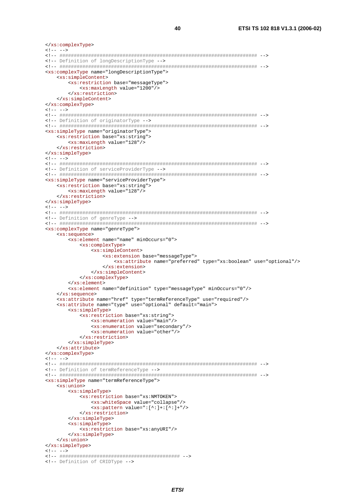```
</xs:complexType>
\lt!! -- -->
<!-- Definition of longDescriptionType -->
<xs:complexType name="longDescriptionType">
  <xs:simpleContent>
     <xs:restriction base="messageType">
        <xs:maxLength value="1200"/>
     </xs:restriction>
  </xs:simpleContent>
</xs:complexType>
21 - 2 - 2<!-- Definition of originatorType -->
<xs:simpleType name="originatorType">
   <xs:restriction base="xs:string">
     <xs:maxLength value="128"/>
  \frac{1}{\sqrt{2}}</xs:simpleType>
21 - - - - -<!-- Definition of serviceProviderType -->
<xs:simpleType name="serviceProviderType">
  <xs:restriction base="xs:string">
     <xs:maxLength value="128"/>
  </xs:restriction>
</xs:simpleType>
\leq 1 - - - -<!-- Definition of genreType -->
<xs:complexType name="genreType">
  <xs:sequence>
     <xs:element name="name" minOccurs="0">
        <xs:complexType>
           <xs:simpleContent>
              <xs:extension base="messageType">
                 <xs:attribute name="preferred" type="xs:boolean" use="optional"/>
              \epsilon/ye:\epsilonytengion>
           </xs:simpleContent>
        </xs:complexType>
     \frac{x}{x}<xs:element name="definition" type="messageType" minOccurs="0"/>
  \langle xs:semience>
  <xs:attribute name="href" type="termReferenceType" use="required"/>
   <xs:attribute name="type" use="optional" default="main">
     <xs:simpleType>
        <xs:restriction base="xs:string">
           <xs:enumeration value="main"/>
           <xs:enumeration value="secondary"/>
           <xs:enumeration value="other"/>
        </xs:restriction>
     \frac{2}{x} </xs:simpleType>
  </xs:attribute>
</xs:complexType>
21 - - - -<!-- Definition of termReferenceType -->
<xs:simpleType name="termReferenceType">
  <xs:union>
     sxs:simpleType>
        sxs: restriction base="xs: NMTOKEN">
           <xs:whiteSpace value="collapse"/>
           \langle xs:pattern value='::[^{\wedge}]:[^{\wedge}]:[^{\wedge}]:\ |^{\#}\rangle</xs:restriction>
     </xs:simpleType>
     <xs:simpleType>
        <xs:restriction base="xs:anyURI"/>
     </xs:simpleType>
  \frac{2}{x}</xs:simpleType>
\leq 1 - - - -<!-- Definition of CRIDType -->
```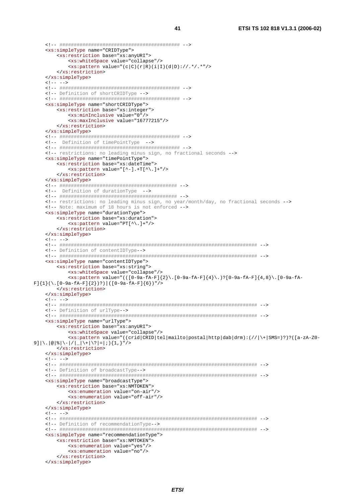```
<xs:simpleType name="CRIDType">
       <xs:restriction base="xs:anyURI">
          <xs:whiteSpace value="collapse"/>
          \langle xs:pattern value=' (c|C) (r|R) (i|I) (d|D) : //.*/.*" / ></xs:restriction>
   </xs:simpleType>
   51 - - -5<!-- Definition of shortCRIDType -->
   <xs:simpleType name="shortCRIDType">
       <xs:restriction base="xs:integer">
          <xs:minInclusive value="0"/>
          <xs:maxInclusive value="16777215"/>
      </xs:restriction>
   </xs:simpleType>
   <!-- Definition of timePointType -->
   \leq l-- restrictions: no leading minus sign, no fractional seconds -->
   <xs:simpleType name="timePointType">
       <xs:restriction base="xs:dateTime">
          \langle x s : pattern value = "[-1, +T[^{\wedge}].] + "/^{\wedge}]</xs:restriction>
   </xs:simpleType>
   <!-- Definition of durationType -->
   <!-- restrictions: no leading minus sign, no year/month/day, no fractional seconds -->
   <!-- Note: maximum of 18 hours is not enforced -->
   <xs:simpleType name="durationType">
       <xs:restriction base="xs:duration">
          \langle xs:pattern value='PT[^{\wedge}].]+"/{\rangle}</xs:restriction>
   </xs:simpleType>
   \leq ! -- -->
   <!-- Definition of contentIDType -- >
   <xs:simpleType_name="contentIDType">
      <xs:restriction base="xs:string">
          <xs:whiteSpace value="collapse"/>
          \{x: 10-9a-fA-F\}{2}\.[0-9a-fA-F]{4}\.)?[0-9a-fA-F]{4,8}\.[0-9a-fA-fA-F]{4,8}\.[0-9a-fA-F]{4,8}\.[0-9a-fA-F]{2}\.
F] {1}(\.[0-9a-fA-F]{2})?) | ([0-9a-fA-F]{6})"/>
      </xs:restriction>
   </xs:simpleType>
   \lt!! -- -->
   <!-- Definition of urlType-->
   <xs:simpleType name="urlType">
       <xs:restriction base="xs:anyURI">
          <xs:whiteSpace value="collapse"/>
          \langle x, y \rangle = \langle y, z \rangle (\langle z, z \rangle = \langle x, y \rangle = \langle x, y \rangle = \langle x, y \rangle = \langle y, y \rangle = \langle y, y \rangle = \langle y, y \rangle = \langle y, y \rangle = \langle y, y \rangle = \langle y, y \rangle = \langle y, y \rangle = \langle y, y \rangle = \langle y, y \rangle = \langle y, y \rangle = \langle y, y \rangle = \langle y, y \rangle = \langle y, y9] \backslash. \circ \circ \backslash - \backslash - \backslash - \backslash - \backslash + \backslash \backslash = \mid i \mid \backslash 1 , \} "\backslash ></xs:restriction>
   </xs:simpleType>
   21 - - - -<!-- Definition of broadcastType-->
   <xs:simpleType name="broadcastType">
       <xs:restriction base="xs:NMTOKEN">
          <xs:enumeration value="on-air"/>
          <xs:enumeration value="off-air"/>
      </xs:restriction>
   </xs:simpleType>
   21 - - - -<!-- Definition of recommendationType-->
   <xs:simpleType name="recommendationType">
       <xs:restriction base="xs:NMTOKEN">
          <xs:enumeration value="yes"/>
          <xs:enumeration value="no"/>
      </xs:restriction>
   </xs:simpleType>
```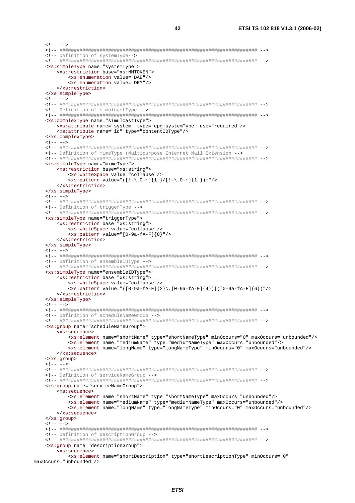$\lt!$ ! -- --> <!-- Definition of systemType -- > <xs:simpleType name="systemType"> <xs:restriction base="xs:NMTOKEN"> <xs:enumeration value="DAB"/> <xs:enumeration value="DRM"/> </xs:restriction> </xs:simpleType>  $\lt!$ ! -- --> <!-- Definition of simulcastType --> <xs:complexType name="simulcastType"> <xs:attribute name="system" type="epg:systemType" use="required"/> <xs:attribute name="id" type="contentIDType"/> </xs:complexType>  $1 - - - -$ <!-- Definition of mimeType (Multipurpose Internet Mail Extension --> <xs:simpleType name="mimeType"> <xs:restriction base="xs:string"> <xs:whiteSpace value="collapse"/> <xs:pattern value="([!-\.0-~]{1,}/[!-\.0-~]{1,})+"/> </xs:restriction> </xs:simpleType>  $21 - - - -$ <!-- Definition of triggerType --> <xs:simpleType name="triggerType"> <xs:restriction base="xs:string"> <xs:whiteSpace value="collapse"/> <xs:pattern value="[0-9a-fA-F]{8}"/> </xs:restriction> </xs:simpleType>  $21 - - - -$ <!-- Definition of ensembleIDType --> <xs:simpleType name="ensembleIDType"> <xs:restriction base="xs:string"> <xs:whiteSpace value="collapse"/> <xs:pattern value="([0-9a-fA-F]{2}\.[0-9a-fA-F]{4})|([0-9a-fA-F]{6})"/> </xs:restriction> </xs:simpleType>  $\lt!$ ! -- --> <!-- Definition of scheduleNameGroup --> <xs:group name="scheduleNameGroup"> <xs:sequence> <xs:element name="shortName" type="shortNameType" minOccurs="0" maxOccurs="unbounded"/> <xs:element name="mediumName" type="mediumNameType" maxOccurs="unbounded"/> <xs:element name="longName" type="longNameType" minOccurs="0" maxOccurs="unbounded"/>  $\langle xs : \text{sequence} \rangle$ </xs:group>  $21 - - - -$ <!-- Definition of serviceNameGroup --> <xs: qroup name="serviceNameGroup"> cys:semience> <xs:element name="shortName" type="shortNameType" maxOccurs="unbounded"/> <xs:element name="mediumName" type="mediumNameType" maxOccurs="unbounded"/> <xs:element name="longName" type="longNameType" minOccurs="0" maxOccurs="unbounded"/>  $\langle x s : \text{sequence} \rangle$ </xs:group>  $\lt!$ ! -- --> <!-- Definition of descriptionGroup --> <xs:group name="descriptionGroup"> <xs:sequence> <xs:element name="shortDescription" type="shortDescriptionType" minOccurs="0" max0ccurs="unbounded"/>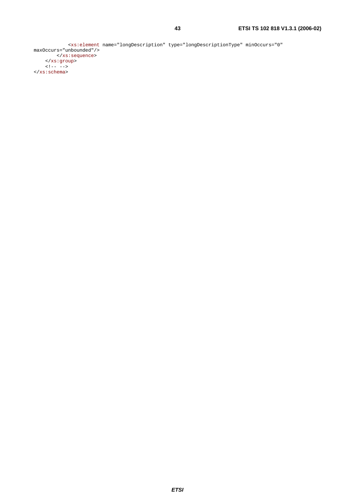```
 <xs:element name="longDescription" type="longDescriptionType" minOccurs="0" 
maxOccurs="unbounded"/> 
 </xs:sequence> 
 </xs:group> 
\langle!-- -->
</xs:schema>
```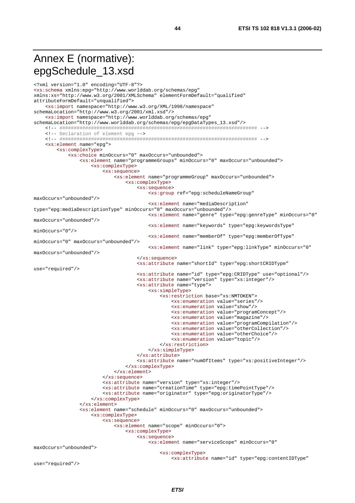## Annex E (normative): epgSchedule\_13.xsd

```
<?xml version="1.0" encoding="UTF-8"?>
<xs:schema xmlns:epg="http://www.worlddab.org/schemas/epg"
xmlns:xs="http://www.w3.org/2001/XMLSchema" elementFormDefault="qualified"
attributeFormDefault="unqualified">
    <xs:import namespace="http://www.w3.org/XML/1998/namespace"
schemaLocation="http://www.w3.org/2001/xml.xsd"/>
    <xs:import namespace="http://www.worlddab.org/schemas/epg"
schemaLocation="http://www.worlddab.org/schemas/epg/epgDataTypes_13.xsd"/>
   <!-- Declaration of element epg -->
   <xs:element name="epq">
       <xs:complexType>
           <xs:choice minOccurs="0" maxOccurs="unbounded">
               <xs:element name="programmeGroups" minOccurs="0" maxOccurs="unbounded">
                   <xs:complexType>
                       <xs:sequence>
                           <xs:element name="programmeGroup" maxOccurs="unbounded">
                               <xs:complexType>
                                  <xs:sequence>
                                      <xs:group ref="epg:scheduleNameGroup"
maxOccurs="unbounded"/>
                                      <xs:element name="mediaDescription"
type="epg:mediaDescriptionType" minOccurs="0" maxOccurs="unbounded"/>
                                      <xs:element name="genre" type="epg:genreType" minOccurs="0"
maxOccurs="unbounded"/>
                                      <xs:element name="keywords" type="epg:keywordsType"
minOccurs = "0"/>
                                       <xs:element name="memberOf" type="epg:memberOfType"
minOccurs="0" maxOccurs="unbounded"/>
                                       <xs:element name="link" type="epg:linkType" minOccurs="0"
maxOccurs="unbounded"/>
                                   </xs:sequence>
                                   <xs:attribute name="shortId" type="epg:shortCRIDType"
use="required"/>
                                   <xs:attribute name="id" type="epg:CRIDType" use="optional"/>
                                   <xs:attribute name="version" type="xs:integer"/>
                                   <xs:attribute name="type">
                                       <xs:simpleType>
                                           <xs:restriction base="xs:NMTOKEN">
                                              <xs:enumeration value="series"/>
                                              <xs:enumeration value="show"/>
                                              <xs:enumeration value="programConcept"/>
                                              <xs:enumeration value="magazine"/>
                                              <xs:enumeration value="programCompilation"/>
                                              <xs:enumeration value="otherCollection"/>
                                              <xs:enumeration value="otherChoice"/>
                                              <xs:enumeration value="topic"/>
                                           </xs:restriction>
                                       </xs:simpleType>
                                   \frac{2}{x}s: attribute>
                                   <xs:attribute name="numOfItems" type="xs:positiveInteger"/>
                               </xs:complexType>
                           \frac{2}{x}s:element>
                       </xs:sequence>
                       <xs:attribute name="version" type="xs:integer"/>
                       <xs:attribute name="creationTime" type="epg:timePointType"/>
                       <xs:attribute name="originator" type="epg:originatorType"/>
                   </xs:complexType>
               \langle x s : \text{element} \rangle<xs:element name="schedule" minOccurs="0" maxOccurs="unbounded">
                   <xs:complexType>
                       <xs:sequence>
                           <xs:element name="scope" minOccurs="0">
                               sxs:complexType>
                                  <xs:sequence>
                                       <xs:element name="serviceScope" minOccurs="0"
maxOccurs="unbounded">
                                          <xs:complexType>
                                               <xs:attribute name="id" type="epg:contentIDType"
```
44

use="required"/>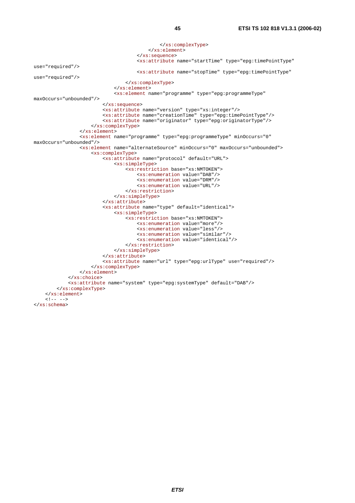```
 </xs:complexType> 
                                            </xs:element> 
                                        </xs:sequence> 
                                        <xs:attribute name="startTime" type="epg:timePointType" 
use="required"/> 
                                        <xs:attribute name="stopTime" type="epg:timePointType" 
use="required"/> 
                                   </xs:complexType> 
                               </xs:element> 
                               <xs:element name="programme" type="epg:programmeType" 
maxOccurs="unbounded"/> 
                           </xs:sequence> 
                           <xs:attribute name="version" type="xs:integer"/> 
                           <xs:attribute name="creationTime" type="epg:timePointType"/> 
                           <xs:attribute name="originator" type="epg:originatorType"/> 
                      </xs:complexType> 
                  </xs:element> 
                  <xs:element name="programme" type="epg:programmeType" minOccurs="0" 
maxOccurs="unbounded"/> 
                  <xs:element name="alternateSource" minOccurs="0" maxOccurs="unbounded"> 
                      <xs:complexType> 
                           <xs:attribute name="protocol" default="URL"> 
                               <xs:simpleType> 
                                   <xs:restriction base="xs:NMTOKEN"> 
                                        <xs:enumeration value="DAB"/> 
                                        <xs:enumeration value="DRM"/> 
                                        <xs:enumeration value="URL"/> 
                                    </xs:restriction> 
                               </xs:simpleType> 
                           </xs:attribute> 
                           <xs:attribute name="type" default="identical"> 
                               <xs:simpleType> 
                                    <xs:restriction base="xs:NMTOKEN"> 
                                        <xs:enumeration value="more"/> 
                                        <xs:enumeration value="less"/> 
                                        <xs:enumeration value="similar"/> 
                                        <xs:enumeration value="identical"/> 
                                   </xs:restriction> 
                               </xs:simpleType> 
                           </xs:attribute> 
                           <xs:attribute name="url" type="epg:urlType" use="required"/> 
                      </xs:complexType> 
                  </xs:element> 
              </xs:choice> 
              <xs:attribute name="system" type="epg:systemType" default="DAB"/> 
         </xs:complexType> 
     </xs:element> 
    21 - - - -</xs:schema>
```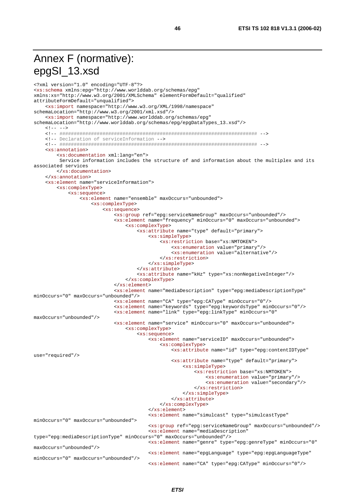## Annex F (normative): epgSI\_13.xsd

```
<?xml version="1.0" encoding="UTF-8"?>
<xs:schema xmlns:epg="http://www.worlddab.org/schemas/epg"
xmlns:xs="http://www.w3.org/2001/XMLSchema" elementFormDefault="qualified"
attributeFormDefault="unqualified">
    <xs:import namespace="http://www.w3.org/XML/1998/namespace"
schemaLocation="http://www.w3.org/2001/xml.xsd"/>
    <xs:import namespace="http://www.worlddab.org/schemas/epg"
schemaLocation="http://www.worlddab.org/schemas/epg/epgDataTypes_13.xsd"/>
   \langle!-- -->
    <!-- Declaration of serviceInformation -->
   xxs:annotation<xs:documentation xml:lang="en">
        Service information includes the structure of and information about the multiplex and its
associated services
       </xs:documentation>
   \epsilon/ye:annotation>
   <xs:element name="serviceInformation">
       <xs:complexType>
           <xs:sequence>
               <xs:element name="ensemble" maxOccurs="unbounded">
                   <xs:complexType>
                       <xs:sequence>
                           <xs:qroup ref="epq:serviceNameGroup" maxOccurs="unbounded"/>
                           <xs:element name="frequency" minOccurs="0" maxOccurs="unbounded">
                               <xs:complexType>
                                   <xs:attribute name="type" default="primary">
                                       <xs:simpleType>
                                          <xs:restriction base="xs:NMTOKEN">
                                              <xs:enumeration value="primary"/>
                                              <xs:enumeration value="alternative"/>
                                          </xs:restriction>
                                       </xs:simpleType>
                                   </xs:attribute>
                                   <xs:attribute name="kHz" type="xs:nonNegativeInteger"/>
                               </xs:complexType>
                           \frac{1}{2} </xs: element>
                           <xs:element name="mediaDescription" type="epg:mediaDescriptionType"
minOccurs="0" maxOccurs="unbounded"/>
                           <xs:element name="CA" type="epg:CAType" minOccurs="0"/>
                           <xs:element name="keywords" type="epg:keywordsType" minOccurs="0"/>
                           <xs:element name="link" type="epg:linkType" minOccurs="0"
maxOccurs="unbounded"/>
                           <xs:element name="service" minOccurs="0" maxOccurs="unbounded">
                               <xs:complexType>
                                   <xs:sequence>
                                       <xs:element_name="serviceID"_maxOccurs="unbounded">
                                          <xs:complexType>
                                              <xs:attribute name="id" type="epg:contentIDType"
use="required"/>
                                              <xs:attribute name="type" default="primary">
                                                  <xs:simpleType>
                                                      <xs:restriction base="xs:NMTOKEN">
                                                          <xs:enumeration value="primary"/>
                                                          <xs:enumeration value="secondary"/>
                                                      </xs:restriction>
                                                  </xs:simpleType>
                                              </xs:attribute>
                                          </xs:complexType>
                                       \langle xs :element>
                                       <xs:element name="simulcast" type="simulcastType"
minOccurs="0" maxOccurs="unbounded">
                                       <xs:group ref="epg:serviceNameGroup" maxOccurs="unbounded"/>
                                       <xs:element name="mediaDescription"
type="epg:mediaDescriptionType" minOccurs="0" maxOccurs="unbounded"/>
                                       <xs:element name="genre" type="epg:genreType" minOccurs="0"
maxOccurs="unbounded"/>
                                       <xs:element name="epgLanguage" type="epg:epgLanguageType"
minOccurs="0" maxOccurs="unbounded"/>
                                       <xs:element name="CA" type="epg:CAType" minOccurs="0"/>
```
46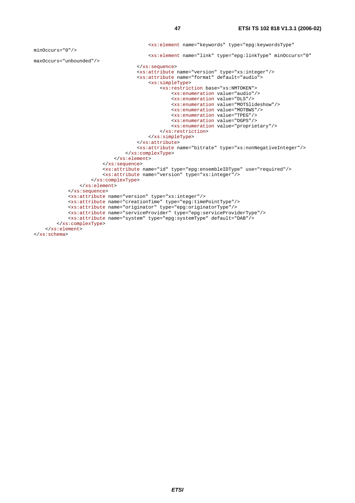minOccurs="0"/>

```
maxOccurs="unbounded"/> 
                                       <xs:attribute name="version" type="xs:integer"/> 
                                       <xs:attribute name="format" default="audio"> 
                                                <xs:restriction base="xs:NMTOKEN"> 
                                                    <xs:enumeration value="audio"/> 
                                                    <xs:enumeration value="DLS"/> 
                                                    <xs:enumeration value="MOTSlideshow"/> 
                                                    <xs:enumeration value="MOTBWS"/> 
                                                    <xs:enumeration value="TPEG"/> 
                                                    <xs:enumeration value="DGPS"/> 
                                                    <xs:enumeration value="proprietary"/> 
                                                </xs:restriction> 
                                           </xs:simpleType> 
                                       </xs:attribute> 
                                       <xs:attribute name="bitrate" type="xs:nonNegativeInteger"/> 
                                   </xs:complexType> 
                              </xs:element> 
                          </xs:sequence> 
                          <xs:attribute name="id" type="epg:ensembleIDType" use="required"/> 
                          <xs:attribute name="version" type="xs:integer"/> 
                      </xs:complexType> 
                  </xs:element> 
             </xs:sequence> 
             <xs:attribute name="version" type="xs:integer"/> 
             <xs:attribute name="creationTime" type="epg:timePointType"/> 
             <xs:attribute name="originator" type="epg:originatorType"/> 
             <xs:attribute name="serviceProvider" type="epg:serviceProviderType"/> 
             <xs:attribute name="system" type="epg:systemType" default="DAB"/> 
         </xs:complexType> 
     </xs:element> 
</xs:schema>
```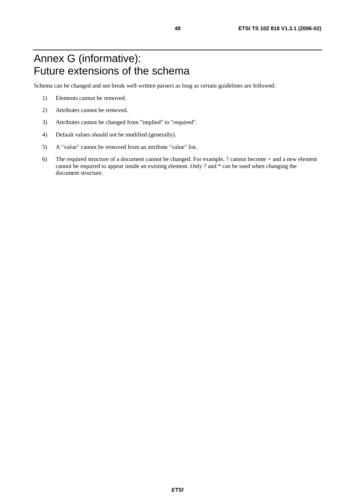## Annex G (informative): Future extensions of the schema

Schema can be changed and not break well-written parsers as long as certain guidelines are followed:

- 1) Elements cannot be removed.
- 2) Attributes cannot be removed.
- 3) Attributes cannot be changed from "implied" to "required".
- 4) Default values should not be modified (generally).
- 5) A "value" cannot be removed from an attribute "value" list.
- 6) The required structure of a document cannot be changed. For example, ? cannot become + and a new element cannot be required to appear inside an existing element. Only ? and \* can be used when changing the document structure.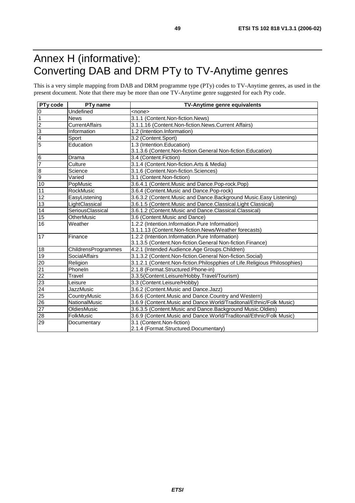## Annex H (informative): Converting DAB and DRM PTy to TV-Anytime genres

This is a very simple mapping from DAB and DRM programme type (PTy) codes to TV-Anytime genres, as used in the present document. Note that there may be more than one TV-Anytime genre suggested for each Pty code.

| PTy code         | PT <sub>v</sub> name  | TV-Anytime genre equivalents                                              |
|------------------|-----------------------|---------------------------------------------------------------------------|
| $\boldsymbol{0}$ | Undefined             | <none></none>                                                             |
| $\overline{1}$   | <b>News</b>           | 3.1.1 (Content.Non-fiction.News)                                          |
| $\overline{2}$   | <b>CurrentAffairs</b> | 3.1.1.16 (Content.Non-fiction.News.Current Affairs)                       |
| 3                | Information           | 1.2 (Intention.Information)                                               |
| $\overline{4}$   | Sport                 | 3.2 (Content.Sport)                                                       |
| $\overline{5}$   | Education             | 1.3 (Intention.Education)                                                 |
|                  |                       | 3.1.3.6 (Content.Non-fiction.General Non-fiction.Education)               |
| $\overline{6}$   | Drama                 | 3.4 (Content.Fiction)                                                     |
| $\overline{7}$   | Culture               | 3.1.4 (Content.Non-fiction.Arts & Media)                                  |
| $\overline{8}$   | Science               | 3.1.6 (Content.Non-fiction.Sciences)                                      |
| 9                | Varied                | 3.1 (Content.Non-fiction)                                                 |
| 10               | PopMusic              | 3.6.4.1 (Content.Music and Dance.Pop-rock.Pop)                            |
| 11               | RockMusic             | 3.6.4 (Content.Music and Dance.Pop-rock)                                  |
| $\overline{12}$  | EasyListening         | 3.6.3.2 (Content. Music and Dance. Background Music. Easy Listening)      |
| $\overline{13}$  | LightClassical        | 3.6.1.5 (Content.Music and Dance.Classical.Light Classical)               |
| 14               | SeriousClassical      | 3.6.1.2 (Content.Music and Dance.Classical.Classical)                     |
| 15               | OtherMusic            | 3.6 (Content.Music and Dance)                                             |
| 16               | Weather               | 1.2.2 (Intention.Information.Pure Information)                            |
|                  |                       | 3.1.1.13 (Content.Non-fiction.News/Weather forecasts)                     |
| 17               | Finance               | 1.2.2 (Intention.Information.Pure Information)                            |
|                  |                       | 3.1.3.5 (Content.Non-fiction.General Non-fiction.Finance)                 |
| 18               | ChildrensProgrammes   | 4.2.1 (Intended Audience.Age Groups.Children)                             |
| 19               | SocialAffairs         | 3.1.3.2 (Content.Non-fiction.General Non-fiction.Social)                  |
| 20               | Religion              | 3.1.2.1 (Content.Non-fiction.Philospphies of Life.Religious Philosophies) |
| 21               | Phoneln               | 2.1.8 (Format.Structured.Phone-in)                                        |
| $\overline{22}$  | Travel                | 3.3.5(Content.Leisure/Hobby.Travel/Tourism)                               |
| 23               | Leisure               | 3.3 (Content.Leisure/Hobby)                                               |
| 24               | JazzMusic             | 3.6.2 (Content.Music and Dance.Jazz)                                      |
| $\overline{25}$  | CountryMusic          | 3.6.6 (Content.Music and Dance.Country and Western)                       |
| 26               | NationalMusic         | 3.6.9 (Content.Music and Dance.World/Traditonal/Ethnic/Folk Music)        |
| 27               | OldiesMusic           | 3.6.3.5 (Content.Music and Dance.Background Music.Oldies)                 |
| 28               | FolkMusic             | 3.6.9 (Content. Music and Dance. World/Traditonal/Ethnic/Folk Music)      |
| 29               | Documentary           | 3.1 (Content.Non-fiction)                                                 |
|                  |                       | 2.1.4 (Format.Structured.Documentary)                                     |